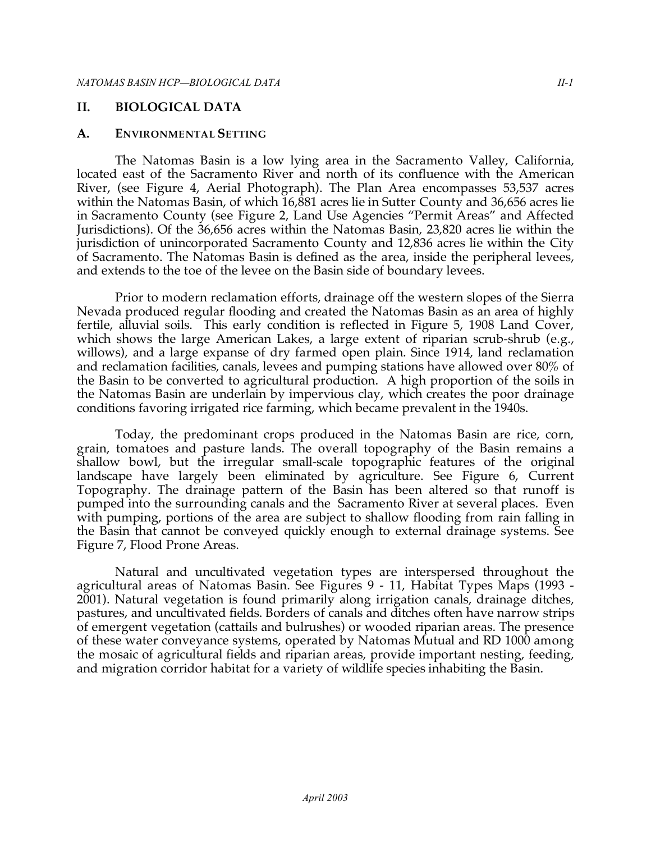#### **II. BIOLOGICAL DATA**

#### **A. ENVIRONMENTAL SETTING**

The Natomas Basin is a low lying area in the Sacramento Valley, California, located east of the Sacramento River and north of its confluence with the American River, (see Figure 4, Aerial Photograph). The Plan Area encompasses 53,537 acres within the Natomas Basin, of which 16,881 acres lie in Sutter County and 36,656 acres lie in Sacramento County (see Figure 2, Land Use Agencies "Permit Areas" and Affected Jurisdictions). Of the 36,656 acres within the Natomas Basin, 23,820 acres lie within the jurisdiction of unincorporated Sacramento County and 12,836 acres lie within the City of Sacramento. The Natomas Basin is defined as the area, inside the peripheral levees, and extends to the toe of the levee on the Basin side of boundary levees.

Prior to modern reclamation efforts, drainage off the western slopes of the Sierra Nevada produced regular flooding and created the Natomas Basin as an area of highly fertile, alluvial soils. This early condition is reflected in Figure 5, 1908 Land Cover, which shows the large American Lakes, a large extent of riparian scrub-shrub (e.g., willows), and a large expanse of dry farmed open plain. Since 1914, land reclamation and reclamation facilities, canals, levees and pumping stations have allowed over 80% of the Basin to be converted to agricultural production. A high proportion of the soils in the Natomas Basin are underlain by impervious clay, which creates the poor drainage conditions favoring irrigated rice farming, which became prevalent in the 1940s.

Today, the predominant crops produced in the Natomas Basin are rice, corn, grain, tomatoes and pasture lands. The overall topography of the Basin remains a shallow bowl, but the irregular small-scale topographic features of the original landscape have largely been eliminated by agriculture. See Figure 6, Current Topography. The drainage pattern of the Basin has been altered so that runoff is pumped into the surrounding canals and the Sacramento River at several places. Even with pumping, portions of the area are subject to shallow flooding from rain falling in the Basin that cannot be conveyed quickly enough to external drainage systems. See Figure 7, Flood Prone Areas.

Natural and uncultivated vegetation types are interspersed throughout the agricultural areas of Natomas Basin. See Figures 9 - 11, Habitat Types Maps (1993 - 2001). Natural vegetation is found primarily along irrigation canals, drainage ditches, pastures, and uncultivated fields. Borders of canals and ditches often have narrow strips of emergent vegetation (cattails and bulrushes) or wooded riparian areas. The presence of these water conveyance systems, operated by Natomas Mutual and RD 1000 among the mosaic of agricultural fields and riparian areas, provide important nesting, feeding, and migration corridor habitat for a variety of wildlife species inhabiting the Basin.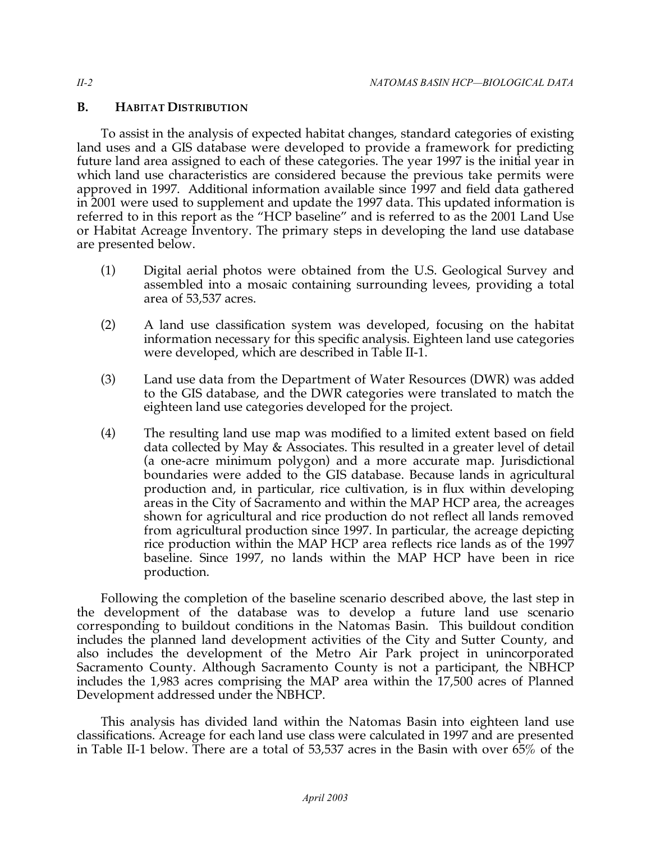## **B. HABITAT DISTRIBUTION**

To assist in the analysis of expected habitat changes, standard categories of existing land uses and a GIS database were developed to provide a framework for predicting future land area assigned to each of these categories. The year 1997 is the initial year in which land use characteristics are considered because the previous take permits were approved in 1997. Additional information available since 1997 and field data gathered in 2001 were used to supplement and update the 1997 data. This updated information is referred to in this report as the "HCP baseline" and is referred to as the 2001 Land Use or Habitat Acreage Inventory. The primary steps in developing the land use database are presented below.

- (1) Digital aerial photos were obtained from the U.S. Geological Survey and assembled into a mosaic containing surrounding levees, providing a total area of 53,537 acres.
- (2) A land use classification system was developed, focusing on the habitat information necessary for this specific analysis. Eighteen land use categories were developed, which are described in Table II-1.
- (3) Land use data from the Department of Water Resources (DWR) was added to the GIS database, and the DWR categories were translated to match the eighteen land use categories developed for the project.
- (4) The resulting land use map was modified to a limited extent based on field data collected by May & Associates. This resulted in a greater level of detail (a one-acre minimum polygon) and a more accurate map. Jurisdictional boundaries were added to the GIS database. Because lands in agricultural production and, in particular, rice cultivation, is in flux within developing areas in the City of Sacramento and within the MAP HCP area, the acreages shown for agricultural and rice production do not reflect all lands removed from agricultural production since 1997. In particular, the acreage depicting rice production within the MAP HCP area reflects rice lands as of the 1997 baseline. Since 1997, no lands within the MAP HCP have been in rice production.

Following the completion of the baseline scenario described above, the last step in the development of the database was to develop a future land use scenario corresponding to buildout conditions in the Natomas Basin. This buildout condition includes the planned land development activities of the City and Sutter County, and also includes the development of the Metro Air Park project in unincorporated Sacramento County. Although Sacramento County is not a participant, the NBHCP includes the 1,983 acres comprising the MAP area within the 17,500 acres of Planned Development addressed under the NBHCP.

This analysis has divided land within the Natomas Basin into eighteen land use classifications. Acreage for each land use class were calculated in 1997 and are presented in Table II-1 below. There are a total of 53,537 acres in the Basin with over 65% of the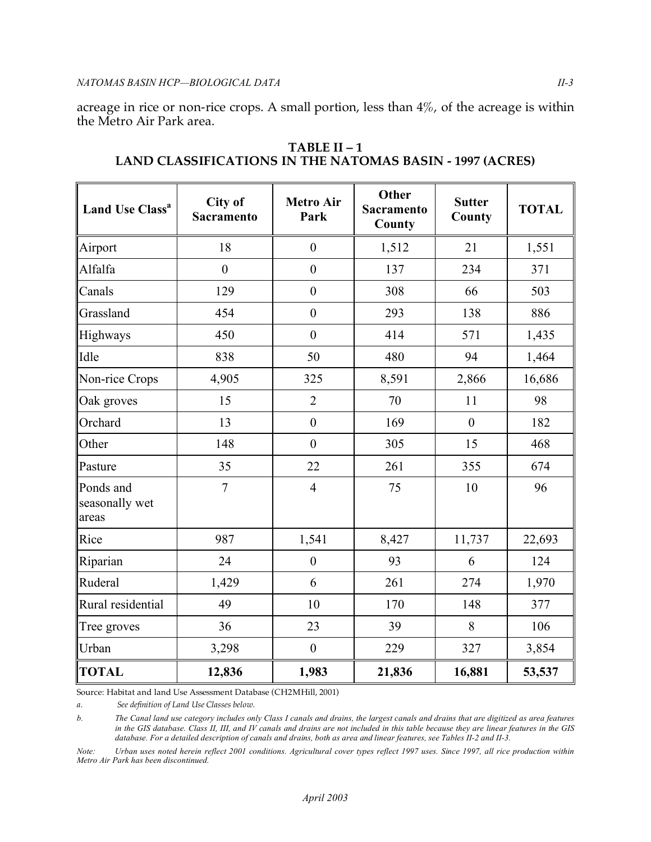acreage in rice or non-rice crops. A small portion, less than 4%, of the acreage is within the Metro Air Park area.

| <b>Land Use Class<sup>a</sup></b>    | City of<br>Sacramento | <b>Metro Air</b><br>Park | Other<br><b>Sacramento</b><br>County | <b>Sutter</b><br>County | <b>TOTAL</b> |
|--------------------------------------|-----------------------|--------------------------|--------------------------------------|-------------------------|--------------|
| Airport                              | 18                    | $\boldsymbol{0}$         | 1,512                                | 21                      | 1,551        |
| Alfalfa                              | $\boldsymbol{0}$      | $\boldsymbol{0}$         | 137                                  | 234                     | 371          |
| Canals                               | 129                   | $\overline{0}$           | 308                                  | 66                      | 503          |
| Grassland                            | 454                   | $\boldsymbol{0}$         | 293                                  | 138                     | 886          |
| Highways                             | 450                   | $\boldsymbol{0}$         | 414                                  | 571                     | 1,435        |
| Idle                                 | 838                   | 50                       | 480                                  | 94                      | 1,464        |
| Non-rice Crops                       | 4,905                 | 325                      | 8,591                                | 2,866                   | 16,686       |
| Oak groves                           | 15                    | $\overline{2}$           | 70                                   | 11                      | 98           |
| Orchard                              | 13                    | $\boldsymbol{0}$         | 169                                  | $\boldsymbol{0}$        | 182          |
| Other                                | 148                   | $\boldsymbol{0}$         | 305                                  | 15                      | 468          |
| Pasture                              | 35                    | 22                       | 261                                  | 355                     | 674          |
| Ponds and<br>seasonally wet<br>areas | $\overline{7}$        | $\overline{4}$           | 75                                   | 10                      | 96           |
| Rice                                 | 987                   | 1,541                    | 8,427                                | 11,737                  | 22,693       |
| Riparian                             | 24                    | $\boldsymbol{0}$         | 93                                   | 6                       | 124          |
| Ruderal                              | 1,429                 | 6                        | 261                                  | 274                     | 1,970        |
| Rural residential                    | 49                    | 10                       | 170                                  | 148                     | 377          |
| Tree groves                          | 36                    | 23                       | 39                                   | 8                       | 106          |
| Urban                                | 3,298                 | $\boldsymbol{0}$         | 229                                  | 327                     | 3,854        |
| <b>TOTAL</b>                         | 12,836                | 1,983                    | 21,836                               | 16,881                  | 53,537       |

**TABLE II – 1 LAND CLASSIFICATIONS IN THE NATOMAS BASIN - 1997 (ACRES)** 

Source: Habitat and land Use Assessment Database (CH2MHill, 2001)

*a. See definition of Land Use Classes below.* 

*b. The Canal land use category includes only Class I canals and drains, the largest canals and drains that are digitized as area features in the GIS database. Class II, III, and IV canals and drains are not included in this table because they are linear features in the GIS database. For a detailed description of canals and drains, both as area and linear features, see Tables II-2 and II-3.* 

*Note: Urban uses noted herein reflect 2001 conditions. Agricultural cover types reflect 1997 uses. Since 1997, all rice production within Metro Air Park has been discontinued.*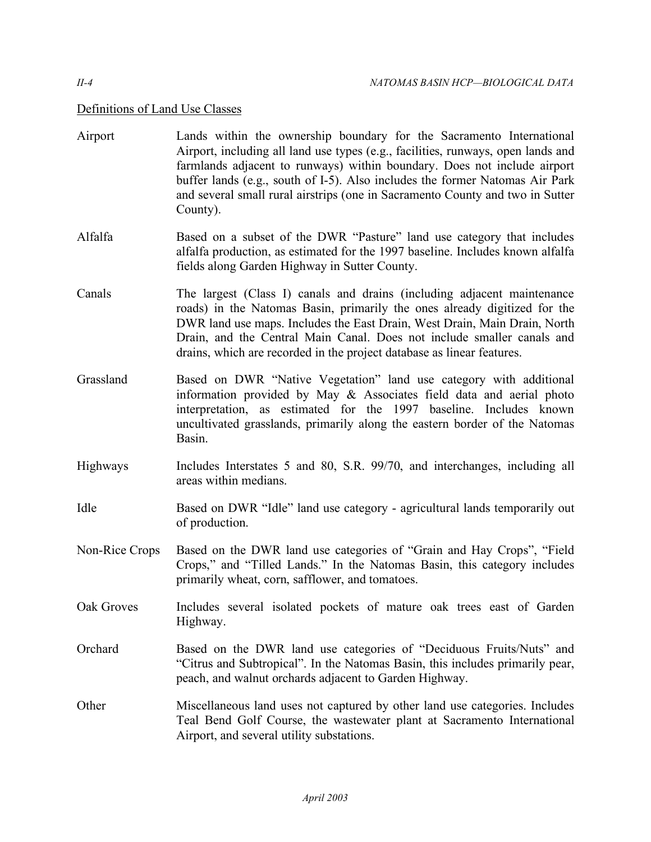### Definitions of Land Use Classes

- Airport Lands within the ownership boundary for the Sacramento International Airport, including all land use types (e.g., facilities, runways, open lands and farmlands adjacent to runways) within boundary. Does not include airport buffer lands (e.g., south of I-5). Also includes the former Natomas Air Park and several small rural airstrips (one in Sacramento County and two in Sutter County).
- Alfalfa Based on a subset of the DWR "Pasture" land use category that includes alfalfa production, as estimated for the 1997 baseline. Includes known alfalfa fields along Garden Highway in Sutter County.
- Canals The largest (Class I) canals and drains (including adjacent maintenance roads) in the Natomas Basin, primarily the ones already digitized for the DWR land use maps. Includes the East Drain, West Drain, Main Drain, North Drain, and the Central Main Canal. Does not include smaller canals and drains, which are recorded in the project database as linear features.
- Grassland Based on DWR "Native Vegetation" land use category with additional information provided by May & Associates field data and aerial photo interpretation, as estimated for the 1997 baseline. Includes known uncultivated grasslands, primarily along the eastern border of the Natomas Basin.
- Highways Includes Interstates 5 and 80, S.R. 99/70, and interchanges, including all areas within medians.
- Idle Based on DWR "Idle" land use category agricultural lands temporarily out of production.
- Non-Rice Crops Based on the DWR land use categories of "Grain and Hay Crops", "Field Crops," and "Tilled Lands." In the Natomas Basin, this category includes primarily wheat, corn, safflower, and tomatoes.
- Oak Groves Includes several isolated pockets of mature oak trees east of Garden Highway.
- Orchard Based on the DWR land use categories of "Deciduous Fruits/Nuts" and "Citrus and Subtropical". In the Natomas Basin, this includes primarily pear, peach, and walnut orchards adjacent to Garden Highway.
- Other Miscellaneous land uses not captured by other land use categories. Includes Teal Bend Golf Course, the wastewater plant at Sacramento International Airport, and several utility substations.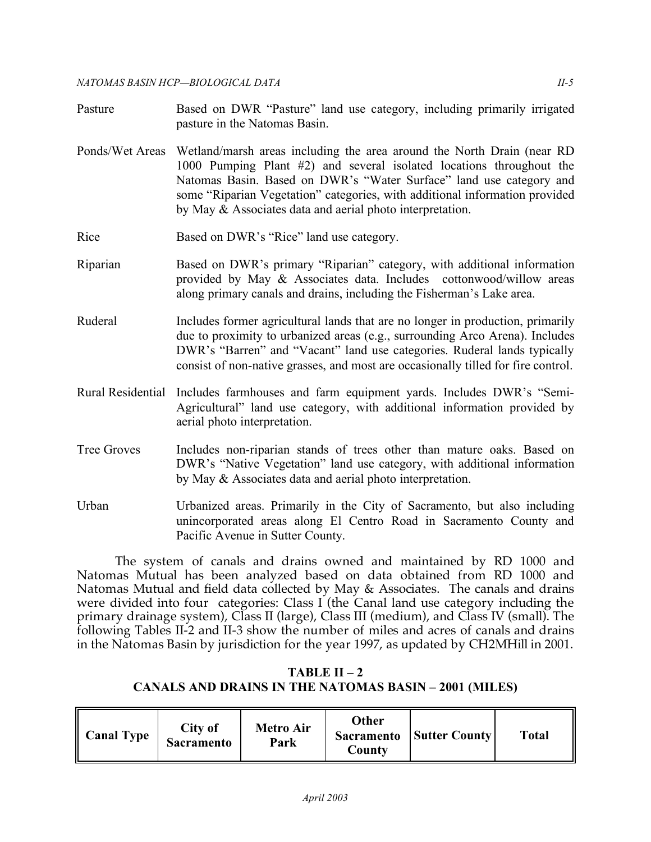- Pasture Based on DWR "Pasture" land use category, including primarily irrigated pasture in the Natomas Basin.
- Ponds/Wet Areas Wetland/marsh areas including the area around the North Drain (near RD 1000 Pumping Plant #2) and several isolated locations throughout the Natomas Basin. Based on DWR's "Water Surface" land use category and some "Riparian Vegetation" categories, with additional information provided by May & Associates data and aerial photo interpretation.
- Rice Based on DWR's "Rice" land use category.
- Riparian Based on DWR's primary "Riparian" category, with additional information provided by May & Associates data. Includes cottonwood/willow areas along primary canals and drains, including the Fisherman's Lake area.
- Ruderal Includes former agricultural lands that are no longer in production, primarily due to proximity to urbanized areas (e.g., surrounding Arco Arena). Includes DWR's "Barren" and "Vacant" land use categories. Ruderal lands typically consist of non-native grasses, and most are occasionally tilled for fire control.
- Rural Residential Includes farmhouses and farm equipment yards. Includes DWR's "Semi-Agricultural" land use category, with additional information provided by aerial photo interpretation.
- Tree Groves Includes non-riparian stands of trees other than mature oaks. Based on DWR's "Native Vegetation" land use category, with additional information by May & Associates data and aerial photo interpretation.
- Urban Urbanized areas. Primarily in the City of Sacramento, but also including unincorporated areas along El Centro Road in Sacramento County and Pacific Avenue in Sutter County.

The system of canals and drains owned and maintained by RD 1000 and Natomas Mutual has been analyzed based on data obtained from RD 1000 and Natomas Mutual and field data collected by May & Associates. The canals and drains were divided into four categories: Class I (the Canal land use category including the primary drainage system), Class II (large), Class III (medium), and Class IV (small). The following Tables II-2 and II-3 show the number of miles and acres of canals and drains in the Natomas Basin by jurisdiction for the year 1997, as updated by CH2MHill in 2001.

## **TABLE II – 2 CANALS AND DRAINS IN THE NATOMAS BASIN – 2001 (MILES)**

| <b>Sacramento</b><br>Park<br>Countv |
|-------------------------------------|
|-------------------------------------|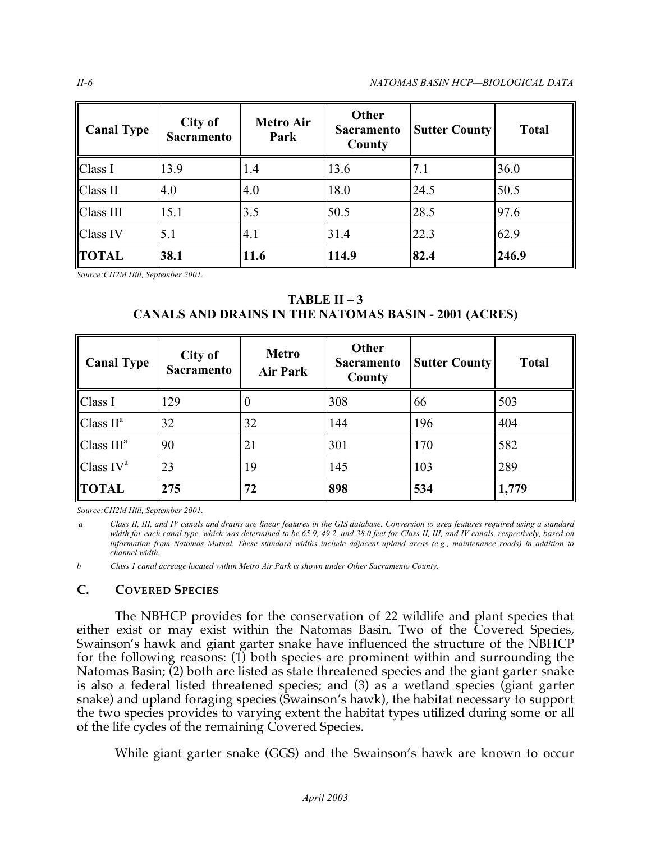*II-6 NATOMAS BASIN HCP—BIOLOGICAL DATA* 

| <b>Canal Type</b> | City of<br><b>Sacramento</b> | <b>Metro Air</b><br>Park | Other<br><b>Sacramento</b><br>County | <b>Sutter County</b> | <b>Total</b> |
|-------------------|------------------------------|--------------------------|--------------------------------------|----------------------|--------------|
| Class I           | 13.9                         | 1.4                      | 13.6                                 | 7.1                  | 36.0         |
| Class II          | 4.0                          | 4.0                      | 18.0                                 | 24.5                 | 50.5         |
| Class III         | 15.1                         | 3.5                      | 50.5                                 | 28.5                 | 97.6         |
| Class IV          | 5.1                          | 4.1                      | 31.4                                 | 22.3                 | 62.9         |
| <b>TOTAL</b>      | 38.1                         | 11.6                     | 114.9                                | 82.4                 | 246.9        |

 *Source:CH2M Hill, September 2001.* 

**TABLE II – 3 CANALS AND DRAINS IN THE NATOMAS BASIN - 2001 (ACRES)** 

| <b>Canal Type</b>                | City of<br><b>Sacramento</b> | <b>Metro</b><br><b>Air Park</b> | Other<br><b>Sacramento</b><br>County | <b>Sutter County</b> | <b>Total</b> |
|----------------------------------|------------------------------|---------------------------------|--------------------------------------|----------------------|--------------|
| Class I                          | 129                          | $\theta$                        | 308                                  | 66                   | 503          |
| Class II <sup>a</sup>            | 32                           | 32                              | 144                                  | 196                  | 404          |
| Class III <sup>a</sup>           | 90                           | 21                              | 301                                  | 170                  | 582          |
| $\mathbf C$ lass IV <sup>a</sup> | 23                           | 19                              | 145                                  | 103                  | 289          |
| <b>TOTAL</b>                     | 275                          | 72                              | 898                                  | 534                  | 1,779        |

 *Source:CH2M Hill, September 2001.* 

*a Class II, III, and IV canals and drains are linear features in the GIS database. Conversion to area features required using a standard width for each canal type, which was determined to be 65.9, 49.2, and 38.0 feet for Class II, III, and IV canals, respectively, based on information from Natomas Mutual. These standard widths include adjacent upland areas (e.g., maintenance roads) in addition to channel width.* 

*b Class 1 canal acreage located within Metro Air Park is shown under Other Sacramento County.* 

## **C. COVERED SPECIES**

The NBHCP provides for the conservation of 22 wildlife and plant species that either exist or may exist within the Natomas Basin. Two of the Covered Species, Swainson's hawk and giant garter snake have influenced the structure of the NBHCP for the following reasons: (1) both species are prominent within and surrounding the Natomas Basin; (2) both are listed as state threatened species and the giant garter snake is also a federal listed threatened species; and (3) as a wetland species (giant garter snake) and upland foraging species (Swainson's hawk), the habitat necessary to support the two species provides to varying extent the habitat types utilized during some or all of the life cycles of the remaining Covered Species.

While giant garter snake (GGS) and the Swainson's hawk are known to occur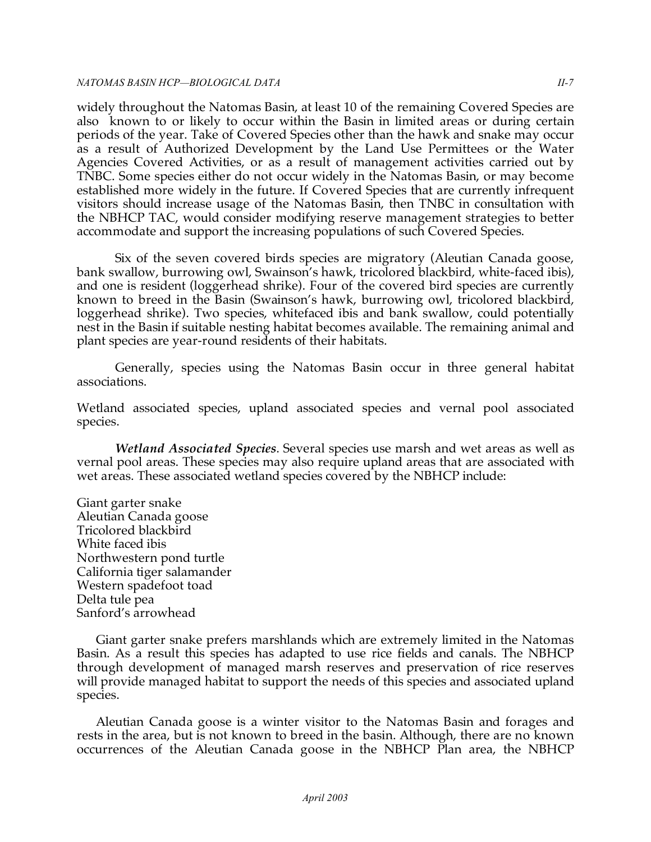#### *NATOMAS BASIN HCP—BIOLOGICAL DATA II-7*

widely throughout the Natomas Basin, at least 10 of the remaining Covered Species are also known to or likely to occur within the Basin in limited areas or during certain periods of the year. Take of Covered Species other than the hawk and snake may occur as a result of Authorized Development by the Land Use Permittees or the Water Agencies Covered Activities, or as a result of management activities carried out by TNBC. Some species either do not occur widely in the Natomas Basin, or may become established more widely in the future. If Covered Species that are currently infrequent visitors should increase usage of the Natomas Basin, then TNBC in consultation with the NBHCP TAC, would consider modifying reserve management strategies to better accommodate and support the increasing populations of such Covered Species.

Six of the seven covered birds species are migratory (Aleutian Canada goose, bank swallow, burrowing owl, Swainson's hawk, tricolored blackbird, white-faced ibis), and one is resident (loggerhead shrike). Four of the covered bird species are currently known to breed in the Basin (Swainson's hawk, burrowing owl, tricolored blackbird, loggerhead shrike). Two species, whitefaced ibis and bank swallow, could potentially nest in the Basin if suitable nesting habitat becomes available. The remaining animal and plant species are year-round residents of their habitats.

Generally, species using the Natomas Basin occur in three general habitat associations.

Wetland associated species, upland associated species and vernal pool associated species.

*Wetland Associated Species*. Several species use marsh and wet areas as well as vernal pool areas. These species may also require upland areas that are associated with wet areas. These associated wetland species covered by the NBHCP include:

 Giant garter snake Aleutian Canada goose Tricolored blackbird White faced ibis Northwestern pond turtle California tiger salamander Western spadefoot toad Delta tule pea Sanford's arrowhead

Giant garter snake prefers marshlands which are extremely limited in the Natomas Basin. As a result this species has adapted to use rice fields and canals. The NBHCP through development of managed marsh reserves and preservation of rice reserves will provide managed habitat to support the needs of this species and associated upland species.

Aleutian Canada goose is a winter visitor to the Natomas Basin and forages and rests in the area, but is not known to breed in the basin. Although, there are no known occurrences of the Aleutian Canada goose in the NBHCP Plan area, the NBHCP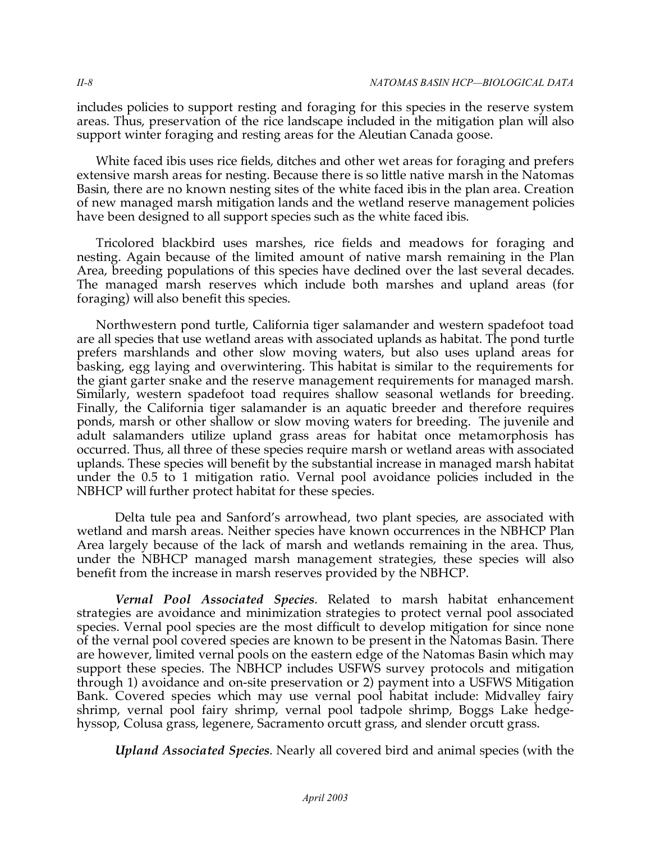includes policies to support resting and foraging for this species in the reserve system areas. Thus, preservation of the rice landscape included in the mitigation plan will also support winter foraging and resting areas for the Aleutian Canada goose.

White faced ibis uses rice fields, ditches and other wet areas for foraging and prefers extensive marsh areas for nesting. Because there is so little native marsh in the Natomas Basin, there are no known nesting sites of the white faced ibis in the plan area. Creation of new managed marsh mitigation lands and the wetland reserve management policies have been designed to all support species such as the white faced ibis.

Tricolored blackbird uses marshes, rice fields and meadows for foraging and nesting. Again because of the limited amount of native marsh remaining in the Plan Area, breeding populations of this species have declined over the last several decades. The managed marsh reserves which include both marshes and upland areas (for foraging) will also benefit this species.

Northwestern pond turtle, California tiger salamander and western spadefoot toad are all species that use wetland areas with associated uplands as habitat. The pond turtle prefers marshlands and other slow moving waters, but also uses upland areas for basking, egg laying and overwintering. This habitat is similar to the requirements for the giant garter snake and the reserve management requirements for managed marsh. Similarly, western spadefoot toad requires shallow seasonal wetlands for breeding. Finally, the California tiger salamander is an aquatic breeder and therefore requires ponds, marsh or other shallow or slow moving waters for breeding. The juvenile and adult salamanders utilize upland grass areas for habitat once metamorphosis has occurred. Thus, all three of these species require marsh or wetland areas with associated uplands. These species will benefit by the substantial increase in managed marsh habitat under the 0.5 to 1 mitigation ratio. Vernal pool avoidance policies included in the NBHCP will further protect habitat for these species.

Delta tule pea and Sanford's arrowhead, two plant species, are associated with wetland and marsh areas. Neither species have known occurrences in the NBHCP Plan Area largely because of the lack of marsh and wetlands remaining in the area. Thus, under the NBHCP managed marsh management strategies, these species will also benefit from the increase in marsh reserves provided by the NBHCP.

*Vernal Pool Associated Species*. Related to marsh habitat enhancement strategies are avoidance and minimization strategies to protect vernal pool associated species. Vernal pool species are the most difficult to develop mitigation for since none of the vernal pool covered species are known to be present in the Natomas Basin. There are however, limited vernal pools on the eastern edge of the Natomas Basin which may support these species. The NBHCP includes USFWS survey protocols and mitigation through 1) avoidance and on-site preservation or 2) payment into a USFWS Mitigation Bank. Covered species which may use vernal pool habitat include: Midvalley fairy shrimp, vernal pool fairy shrimp, vernal pool tadpole shrimp, Boggs Lake hedgehyssop, Colusa grass, legenere, Sacramento orcutt grass, and slender orcutt grass.

*Upland Associated Species*. Nearly all covered bird and animal species (with the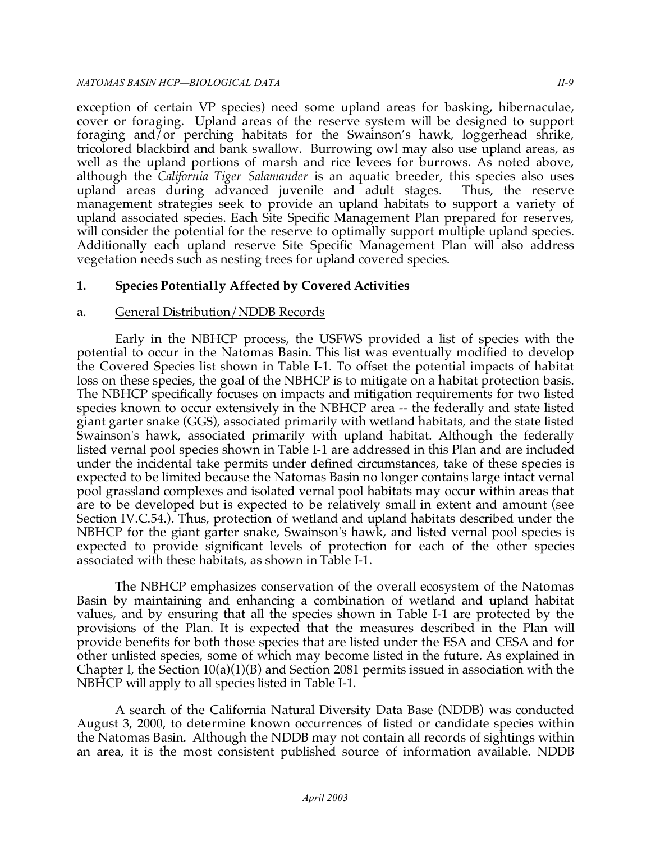#### *NATOMAS BASIN HCP —BIOLOGICAL DATA II-9*

exception of certain VP species) need some upland areas for basking, hibernaculae, cover or foraging. Upland areas of the reserve system will be designed to support foraging and/or perching habitats for the Swainson's hawk, loggerhead shrike, tricolored blackbird and bank swallow. Burrowing owl may also use upland areas, as well as the upland portions of marsh and rice levees for burrows. As noted above, although the *California Tiger Salamander* is an aquatic breeder, this species also uses upland areas during advanced juvenile and adult stages. Thus, the reserve management strategies seek to provide an upland habitats to support a variety of upland associated species. Each Site Specific Management Plan prepared for reserves, will consider the potential for the reserve to optimally support multiple upland species. Additionally each upland reserve Site Specific Management Plan will also address vegetation needs such as nesting trees for upland covered species.

## **1. Species Potentially Affected by Covered Activities**

## a. General Distribution/NDDB Records

Early in the NBHCP process, the USFWS provided a list of species with the potential to occur in the Natomas Basin. This list was eventually modified to develop the Covered Species list shown in Table I-1. To offset the potential impacts of habitat loss on these species, the goal of the NBHCP is to mitigate on a habitat protection basis. The NBHCP specifically focuses on impacts and mitigation requirements for two listed species known to occur extensively in the NBHCP area -- the federally and state listed giant garter snake (GGS), associated primarily with wetland habitats, and the state listed Swainson's hawk, associated primarily with upland habitat. Although the federally listed vernal pool species shown in Table I-1 are addressed in this Plan and are included under the incidental take permits under defined circumstances, take of these species is expected to be limited because the Natomas Basin no longer contains large intact vernal pool grassland complexes and isolated vernal pool habitats may occur within areas that are to be developed but is expected to be relatively small in extent and amount (see Section IV.C.54.). Thus, protection of wetland and upland habitats described under the NBHCP for the giant garter snake, Swainson's hawk, and listed vernal pool species is expected to provide significant levels of protection for each of the other species associated with these habitats, as shown in Table I-1.

The NBHCP emphasizes conservation of the overall ecosystem of the Natomas Basin by maintaining and enhancing a combination of wetland and upland habitat values, and by ensuring that all the species shown in Table I-1 are protected by the provisions of the Plan. It is expected that the measures described in the Plan will provide benefits for both those species that are listed under the ESA and CESA and for other unlisted species, some of which may become listed in the future. As explained in Chapter I, the Section  $10(a)(1)(B)$  and Section 2081 permits issued in association with the NBHCP will apply to all species listed in Table I-1.

A search of the California Natural Diversity Data Base (NDDB) was conducted August 3, 2000, to determine known occurrences of listed or candidate species within the Natomas Basin. Although the NDDB may not contain all records of sightings within an area, it is the most consistent published source of information available. NDDB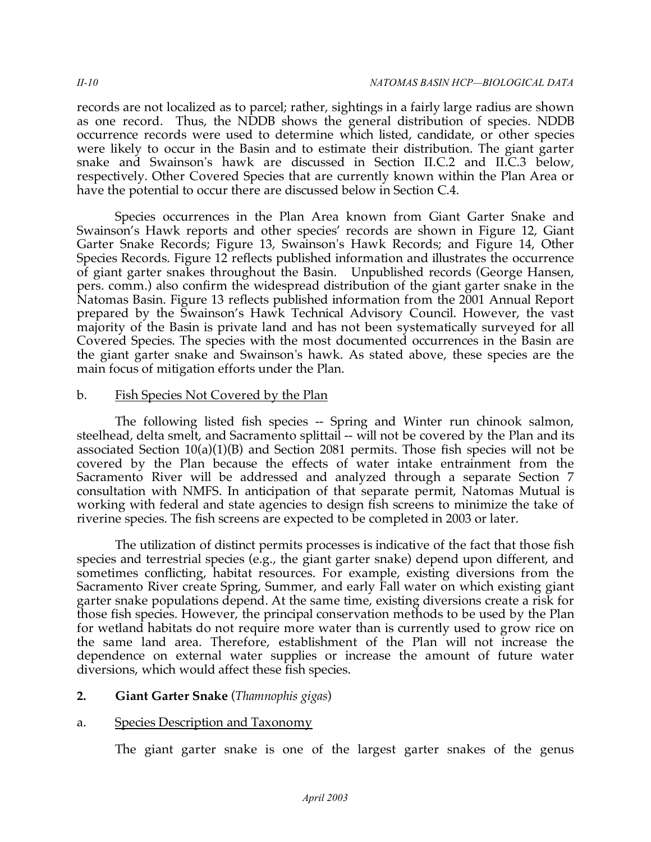records are not localized as to parcel; rather, sightings in a fairly large radius are shown as one record. Thus, the NDDB shows the general distribution of species. NDDB occurrence records were used to determine which listed, candidate, or other species were likely to occur in the Basin and to estimate their distribution. The giant garter snake and Swainson's hawk are discussed in Section II.C.2 and II.C.3 below, respectively. Other Covered Species that are currently known within the Plan Area or have the potential to occur there are discussed below in Section C.4.

Species occurrences in the Plan Area known from Giant Garter Snake and Swainson's Hawk reports and other species' records are shown in Figure 12, Giant Garter Snake Records; Figure 13, Swainson's Hawk Records; and Figure 14, Other Species Records. Figure 12 reflects published information and illustrates the occurrence of giant garter snakes throughout the Basin. Unpublished records (George Hansen, pers. comm.) also confirm the widespread distribution of the giant garter snake in the Natomas Basin. Figure 13 reflects published information from the 2001 Annual Report prepared by the Swainson's Hawk Technical Advisory Council. However, the vast majority of the Basin is private land and has not been systematically surveyed for all Covered Species. The species with the most documented occurrences in the Basin are the giant garter snake and Swainson's hawk. As stated above, these species are the main focus of mitigation efforts under the Plan.

## b. Fish Species Not Covered by the Plan

The following listed fish species -- Spring and Winter run chinook salmon, steelhead, delta smelt, and Sacramento splittail -- will not be covered by the Plan and its associated Section  $10(a)(1)(B)$  and Section 2081 permits. Those fish species will not be covered by the Plan because the effects of water intake entrainment from the Sacramento River will be addressed and analyzed through a separate Section 7 consultation with NMFS. In anticipation of that separate permit, Natomas Mutual is working with federal and state agencies to design fish screens to minimize the take of riverine species. The fish screens are expected to be completed in 2003 or later.

The utilization of distinct permits processes is indicative of the fact that those fish species and terrestrial species (e.g., the giant garter snake) depend upon different, and sometimes conflicting, habitat resources. For example, existing diversions from the Sacramento River create Spring, Summer, and early Fall water on which existing giant garter snake populations depend. At the same time, existing diversions create a risk for those fish species. However, the principal conservation methods to be used by the Plan for wetland habitats do not require more water than is currently used to grow rice on the same land area. Therefore, establishment of the Plan will not increase the dependence on external water supplies or increase the amount of future water diversions, which would affect these fish species.

## **2. Giant Garter Snake** (*Thamnophis gigas*)

## a. Species Description and Taxonomy

The giant garter snake is one of the largest garter snakes of the genus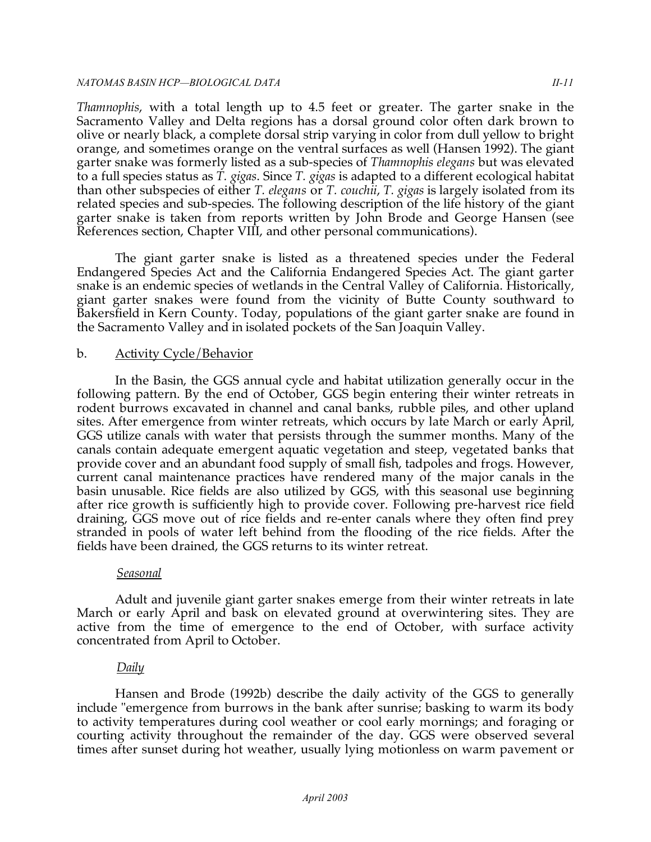#### *NATOMAS BASIN HCP —BIOLOGICAL DATA II-11*

*Thamnophis*, with a total length up to 4.5 feet or greater. The garter snake in the Sacramento Valley and Delta regions has a dorsal ground color often dark brown to olive or nearly black, a complete dorsal strip varying in color from dull yellow to bright orange, and sometimes orange on the ventral surfaces as well (Hansen 1992). The giant garter snake was formerly listed as a sub-species of *Thamnophis elegans* but was elevated to a full species status as *T. gigas*. Since *T. gigas* is adapted to a different ecological habitat than other subspecies of either *T. elegans* or *T. couchii*, *T. gigas* is largely isolated from its related species and sub-species. The following description of the life history of the giant garter snake is taken from reports written by John Brode and George Hansen (see References section, Chapter VIII, and other personal communications).

The giant garter snake is listed as a threatened species under the Federal Endangered Species Act and the California Endangered Species Act. The giant garter snake is an endemic species of wetlands in the Central Valley of California. Historically, giant garter snakes were found from the vicinity of Butte County southward to Bakersfield in Kern County. Today, populations of the giant garter snake are found in the Sacramento Valley and in isolated pockets of the San Joaquin Valley.

## b. Activity Cycle/Behavior

In the Basin, the GGS annual cycle and habitat utilization generally occur in the following pattern. By the end of October, GGS begin entering their winter retreats in rodent burrows excavated in channel and canal banks, rubble piles, and other upland sites. After emergence from winter retreats, which occurs by late March or early April, GGS utilize canals with water that persists through the summer months. Many of the canals contain adequate emergent aquatic vegetation and steep, vegetated banks that provide cover and an abundant food supply of small fish, tadpoles and frogs. However, current canal maintenance practices have rendered many of the major canals in the basin unusable. Rice fields are also utilized by GGS, with this seasonal use beginning after rice growth is sufficiently high to provide cover. Following pre-harvest rice field draining, GGS move out of rice fields and re-enter canals where they often find prey stranded in pools of water left behind from the flooding of the rice fields. After the fields have been drained, the GGS returns to its winter retreat.

## *Seasonal*

Adult and juvenile giant garter snakes emerge from their winter retreats in late March or early April and bask on elevated ground at overwintering sites. They are active from the time of emergence to the end of October, with surface activity concentrated from April to October.

## *Daily*

Hansen and Brode (1992b) describe the daily activity of the GGS to generally include "emergence from burrows in the bank after sunrise; basking to warm its body to activity temperatures during cool weather or cool early mornings; and foraging or courting activity throughout the remainder of the day. GGS were observed several times after sunset during hot weather, usually lying motionless on warm pavement or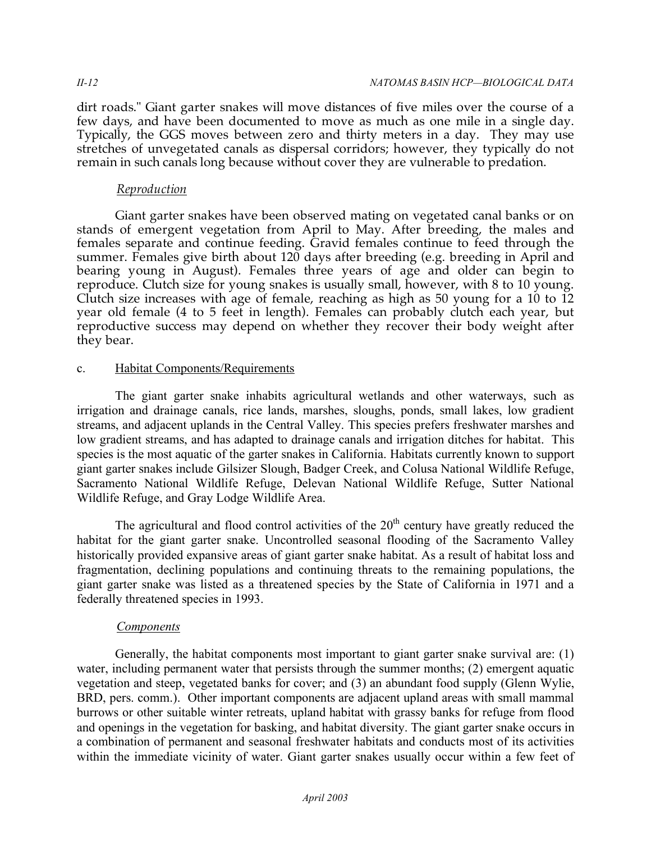dirt roads." Giant garter snakes will move distances of five miles over the course of a few days, and have been documented to move as much as one mile in a single day. Typically, the GGS moves between zero and thirty meters in a day. They may use stretches of unvegetated canals as dispersal corridors; however, they typically do not remain in such canals long because without cover they are vulnerable to predation.

## *Reproduction*

Giant garter snakes have been observed mating on vegetated canal banks or on stands of emergent vegetation from April to May. After breeding, the males and females separate and continue feeding. Gravid females continue to feed through the summer. Females give birth about  $120$  days after breeding (e.g. breeding in April and bearing young in August). Females three years of age and older can begin to reproduce. Clutch size for young snakes is usually small, however, with 8 to 10 young. Clutch size increases with age of female, reaching as high as 50 young for a 10 to 12 year old female (4 to 5 feet in length). Females can probably clutch each year, but reproductive success may depend on whether they recover their body weight after they bear.

## c. Habitat Components/Requirements

The giant garter snake inhabits agricultural wetlands and other waterways, such as irrigation and drainage canals, rice lands, marshes, sloughs, ponds, small lakes, low gradient streams, and adjacent uplands in the Central Valley. This species prefers freshwater marshes and low gradient streams, and has adapted to drainage canals and irrigation ditches for habitat. This species is the most aquatic of the garter snakes in California. Habitats currently known to support giant garter snakes include Gilsizer Slough, Badger Creek, and Colusa National Wildlife Refuge, Sacramento National Wildlife Refuge, Delevan National Wildlife Refuge, Sutter National Wildlife Refuge, and Gray Lodge Wildlife Area.

The agricultural and flood control activities of the  $20<sup>th</sup>$  century have greatly reduced the habitat for the giant garter snake. Uncontrolled seasonal flooding of the Sacramento Valley historically provided expansive areas of giant garter snake habitat. As a result of habitat loss and fragmentation, declining populations and continuing threats to the remaining populations, the giant garter snake was listed as a threatened species by the State of California in 1971 and a federally threatened species in 1993.

## *Components*

Generally, the habitat components most important to giant garter snake survival are: (1) water, including permanent water that persists through the summer months; (2) emergent aquatic vegetation and steep, vegetated banks for cover; and (3) an abundant food supply (Glenn Wylie, BRD, pers. comm.). Other important components are adjacent upland areas with small mammal burrows or other suitable winter retreats, upland habitat with grassy banks for refuge from flood and openings in the vegetation for basking, and habitat diversity. The giant garter snake occurs in a combination of permanent and seasonal freshwater habitats and conducts most of its activities within the immediate vicinity of water. Giant garter snakes usually occur within a few feet of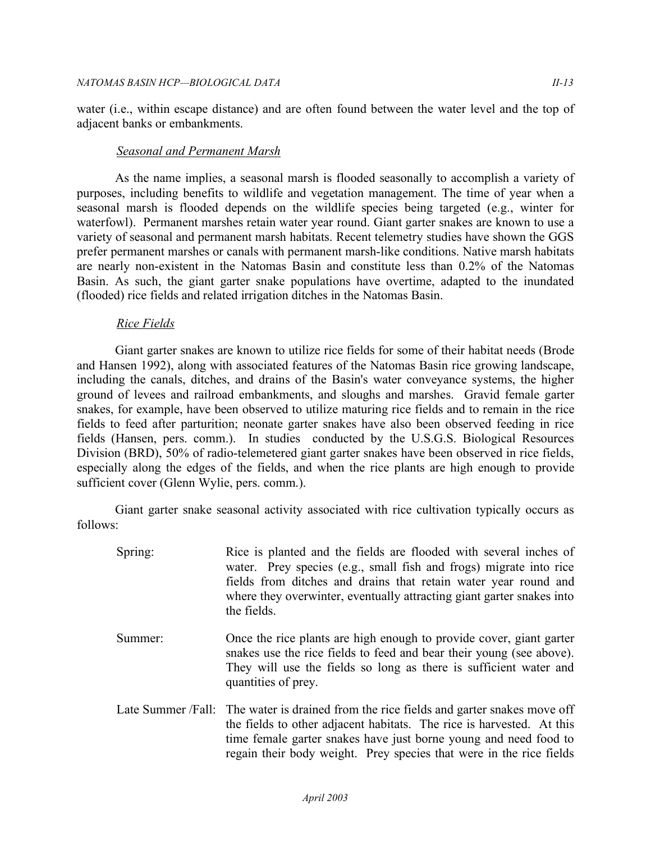water (i.e., within escape distance) and are often found between the water level and the top of adjacent banks or embankments.

### *Seasonal and Permanent Marsh*

As the name implies, a seasonal marsh is flooded seasonally to accomplish a variety of purposes, including benefits to wildlife and vegetation management. The time of year when a seasonal marsh is flooded depends on the wildlife species being targeted (e.g., winter for waterfowl). Permanent marshes retain water year round. Giant garter snakes are known to use a variety of seasonal and permanent marsh habitats. Recent telemetry studies have shown the GGS prefer permanent marshes or canals with permanent marsh-like conditions. Native marsh habitats are nearly non-existent in the Natomas Basin and constitute less than 0.2% of the Natomas Basin. As such, the giant garter snake populations have overtime, adapted to the inundated (flooded) rice fields and related irrigation ditches in the Natomas Basin.

### *Rice Fields*

Giant garter snakes are known to utilize rice fields for some of their habitat needs (Brode and Hansen 1992), along with associated features of the Natomas Basin rice growing landscape, including the canals, ditches, and drains of the Basin's water conveyance systems, the higher ground of levees and railroad embankments, and sloughs and marshes. Gravid female garter snakes, for example, have been observed to utilize maturing rice fields and to remain in the rice fields to feed after parturition; neonate garter snakes have also been observed feeding in rice fields (Hansen, pers. comm.). In studies conducted by the U.S.G.S. Biological Resources Division (BRD), 50% of radio-telemetered giant garter snakes have been observed in rice fields, especially along the edges of the fields, and when the rice plants are high enough to provide sufficient cover (Glenn Wylie, pers. comm.).

Giant garter snake seasonal activity associated with rice cultivation typically occurs as follows:

Spring: Rice is planted and the fields are flooded with several inches of water. Prey species (e.g., small fish and frogs) migrate into rice fields from ditches and drains that retain water year round and where they overwinter, eventually attracting giant garter snakes into the fields. Summer: Once the rice plants are high enough to provide cover, giant garter snakes use the rice fields to feed and bear their young (see above). They will use the fields so long as there is sufficient water and quantities of prey. Late Summer /Fall: The water is drained from the rice fields and garter snakes move off the fields to other adjacent habitats. The rice is harvested. At this time female garter snakes have just borne young and need food to regain their body weight. Prey species that were in the rice fields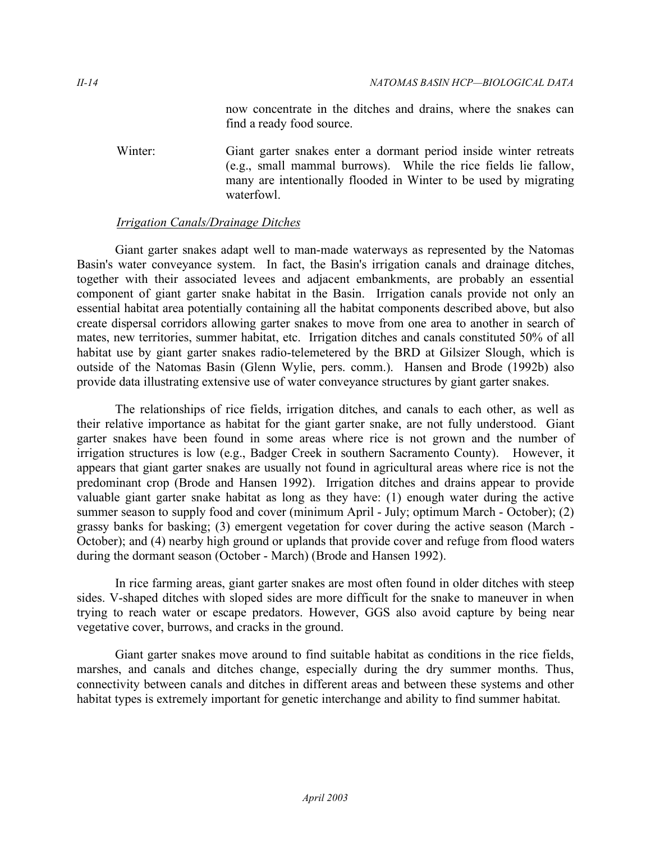now concentrate in the ditches and drains, where the snakes can find a ready food source.

Winter: Giant garter snakes enter a dormant period inside winter retreats (e.g., small mammal burrows). While the rice fields lie fallow, many are intentionally flooded in Winter to be used by migrating waterfowl.

## *Irrigation Canals/Drainage Ditches*

Giant garter snakes adapt well to man-made waterways as represented by the Natomas Basin's water conveyance system. In fact, the Basin's irrigation canals and drainage ditches, together with their associated levees and adjacent embankments, are probably an essential component of giant garter snake habitat in the Basin. Irrigation canals provide not only an essential habitat area potentially containing all the habitat components described above, but also create dispersal corridors allowing garter snakes to move from one area to another in search of mates, new territories, summer habitat, etc. Irrigation ditches and canals constituted 50% of all habitat use by giant garter snakes radio-telemetered by the BRD at Gilsizer Slough, which is outside of the Natomas Basin (Glenn Wylie, pers. comm.). Hansen and Brode (1992b) also provide data illustrating extensive use of water conveyance structures by giant garter snakes.

The relationships of rice fields, irrigation ditches, and canals to each other, as well as their relative importance as habitat for the giant garter snake, are not fully understood. Giant garter snakes have been found in some areas where rice is not grown and the number of irrigation structures is low (e.g., Badger Creek in southern Sacramento County). However, it appears that giant garter snakes are usually not found in agricultural areas where rice is not the predominant crop (Brode and Hansen 1992). Irrigation ditches and drains appear to provide valuable giant garter snake habitat as long as they have: (1) enough water during the active summer season to supply food and cover (minimum April - July; optimum March - October); (2) grassy banks for basking; (3) emergent vegetation for cover during the active season (March - October); and (4) nearby high ground or uplands that provide cover and refuge from flood waters during the dormant season (October - March) (Brode and Hansen 1992).

In rice farming areas, giant garter snakes are most often found in older ditches with steep sides. V-shaped ditches with sloped sides are more difficult for the snake to maneuver in when trying to reach water or escape predators. However, GGS also avoid capture by being near vegetative cover, burrows, and cracks in the ground.

Giant garter snakes move around to find suitable habitat as conditions in the rice fields, marshes, and canals and ditches change, especially during the dry summer months. Thus, connectivity between canals and ditches in different areas and between these systems and other habitat types is extremely important for genetic interchange and ability to find summer habitat.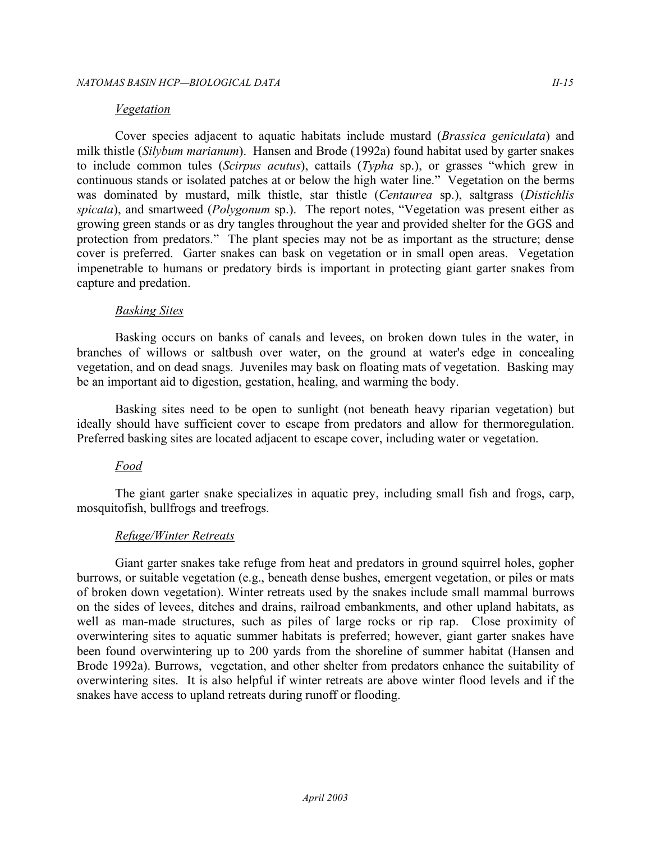#### *Vegetation*

Cover species adjacent to aquatic habitats include mustard (*Brassica geniculata*) and milk thistle (*Silybum marianum*). Hansen and Brode (1992a) found habitat used by garter snakes to include common tules (*Scirpus acutus*), cattails (*Typha* sp.), or grasses "which grew in continuous stands or isolated patches at or below the high water line." Vegetation on the berms was dominated by mustard, milk thistle, star thistle (*Centaurea* sp.), saltgrass (*Distichlis spicata*), and smartweed (*Polygonum* sp.). The report notes, "Vegetation was present either as growing green stands or as dry tangles throughout the year and provided shelter for the GGS and protection from predators." The plant species may not be as important as the structure; dense cover is preferred. Garter snakes can bask on vegetation or in small open areas. Vegetation impenetrable to humans or predatory birds is important in protecting giant garter snakes from capture and predation.

#### *Basking Sites*

 Basking occurs on banks of canals and levees, on broken down tules in the water, in branches of willows or saltbush over water, on the ground at water's edge in concealing vegetation, and on dead snags. Juveniles may bask on floating mats of vegetation. Basking may be an important aid to digestion, gestation, healing, and warming the body.

 Basking sites need to be open to sunlight (not beneath heavy riparian vegetation) but ideally should have sufficient cover to escape from predators and allow for thermoregulation. Preferred basking sites are located adjacent to escape cover, including water or vegetation.

#### *Food*

 The giant garter snake specializes in aquatic prey, including small fish and frogs, carp, mosquitofish, bullfrogs and treefrogs.

#### *Refuge/Winter Retreats*

 Giant garter snakes take refuge from heat and predators in ground squirrel holes, gopher burrows, or suitable vegetation (e.g., beneath dense bushes, emergent vegetation, or piles or mats of broken down vegetation). Winter retreats used by the snakes include small mammal burrows on the sides of levees, ditches and drains, railroad embankments, and other upland habitats, as well as man-made structures, such as piles of large rocks or rip rap. Close proximity of overwintering sites to aquatic summer habitats is preferred; however, giant garter snakes have been found overwintering up to 200 yards from the shoreline of summer habitat (Hansen and Brode 1992a). Burrows, vegetation, and other shelter from predators enhance the suitability of overwintering sites. It is also helpful if winter retreats are above winter flood levels and if the snakes have access to upland retreats during runoff or flooding.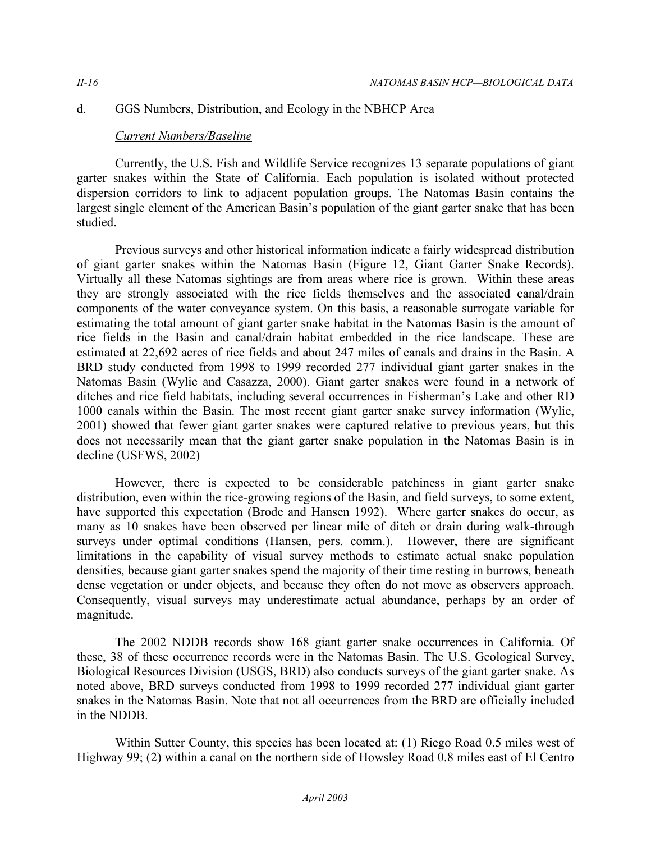## d. GGS Numbers, Distribution, and Ecology in the NBHCP Area

## *Current Numbers/Baseline*

Currently, the U.S. Fish and Wildlife Service recognizes 13 separate populations of giant garter snakes within the State of California. Each population is isolated without protected dispersion corridors to link to adjacent population groups. The Natomas Basin contains the largest single element of the American Basin's population of the giant garter snake that has been studied.

Previous surveys and other historical information indicate a fairly widespread distribution of giant garter snakes within the Natomas Basin (Figure 12, Giant Garter Snake Records). Virtually all these Natomas sightings are from areas where rice is grown. Within these areas they are strongly associated with the rice fields themselves and the associated canal/drain components of the water conveyance system. On this basis, a reasonable surrogate variable for estimating the total amount of giant garter snake habitat in the Natomas Basin is the amount of rice fields in the Basin and canal/drain habitat embedded in the rice landscape. These are estimated at 22,692 acres of rice fields and about 247 miles of canals and drains in the Basin. A BRD study conducted from 1998 to 1999 recorded 277 individual giant garter snakes in the Natomas Basin (Wylie and Casazza, 2000). Giant garter snakes were found in a network of ditches and rice field habitats, including several occurrences in Fisherman's Lake and other RD 1000 canals within the Basin. The most recent giant garter snake survey information (Wylie, 2001) showed that fewer giant garter snakes were captured relative to previous years, but this does not necessarily mean that the giant garter snake population in the Natomas Basin is in decline (USFWS, 2002)

However, there is expected to be considerable patchiness in giant garter snake distribution, even within the rice-growing regions of the Basin, and field surveys, to some extent, have supported this expectation (Brode and Hansen 1992). Where garter snakes do occur, as many as 10 snakes have been observed per linear mile of ditch or drain during walk-through surveys under optimal conditions (Hansen, pers. comm.). However, there are significant limitations in the capability of visual survey methods to estimate actual snake population densities, because giant garter snakes spend the majority of their time resting in burrows, beneath dense vegetation or under objects, and because they often do not move as observers approach. Consequently, visual surveys may underestimate actual abundance, perhaps by an order of magnitude.

The 2002 NDDB records show 168 giant garter snake occurrences in California. Of these, 38 of these occurrence records were in the Natomas Basin. The U.S. Geological Survey, Biological Resources Division (USGS, BRD) also conducts surveys of the giant garter snake. As noted above, BRD surveys conducted from 1998 to 1999 recorded 277 individual giant garter snakes in the Natomas Basin. Note that not all occurrences from the BRD are officially included in the NDDB.

Within Sutter County, this species has been located at: (1) Riego Road 0.5 miles west of Highway 99; (2) within a canal on the northern side of Howsley Road 0.8 miles east of El Centro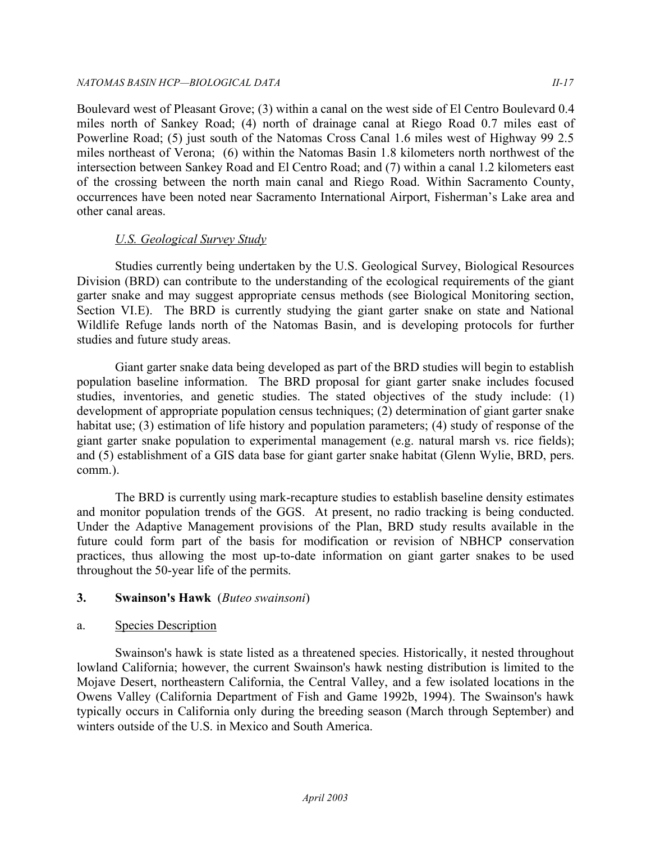Boulevard west of Pleasant Grove; (3) within a canal on the west side of El Centro Boulevard 0.4 miles north of Sankey Road; (4) north of drainage canal at Riego Road 0.7 miles east of Powerline Road; (5) just south of the Natomas Cross Canal 1.6 miles west of Highway 99 2.5 miles northeast of Verona; (6) within the Natomas Basin 1.8 kilometers north northwest of the intersection between Sankey Road and El Centro Road; and (7) within a canal 1.2 kilometers east of the crossing between the north main canal and Riego Road. Within Sacramento County, occurrences have been noted near Sacramento International Airport, Fisherman's Lake area and other canal areas.

## *U.S. Geological Survey Study*

Studies currently being undertaken by the U.S. Geological Survey, Biological Resources Division (BRD) can contribute to the understanding of the ecological requirements of the giant garter snake and may suggest appropriate census methods (see Biological Monitoring section, Section VI.E). The BRD is currently studying the giant garter snake on state and National Wildlife Refuge lands north of the Natomas Basin, and is developing protocols for further studies and future study areas.

Giant garter snake data being developed as part of the BRD studies will begin to establish population baseline information. The BRD proposal for giant garter snake includes focused studies, inventories, and genetic studies. The stated objectives of the study include: (1) development of appropriate population census techniques; (2) determination of giant garter snake habitat use; (3) estimation of life history and population parameters; (4) study of response of the giant garter snake population to experimental management (e.g. natural marsh vs. rice fields); and (5) establishment of a GIS data base for giant garter snake habitat (Glenn Wylie, BRD, pers. comm.).

The BRD is currently using mark-recapture studies to establish baseline density estimates and monitor population trends of the GGS. At present, no radio tracking is being conducted. Under the Adaptive Management provisions of the Plan, BRD study results available in the future could form part of the basis for modification or revision of NBHCP conservation practices, thus allowing the most up-to-date information on giant garter snakes to be used throughout the 50-year life of the permits.

## **3. Swainson's Hawk** (*Buteo swainsoni*)

## a. Species Description

Swainson's hawk is state listed as a threatened species. Historically, it nested throughout lowland California; however, the current Swainson's hawk nesting distribution is limited to the Mojave Desert, northeastern California, the Central Valley, and a few isolated locations in the Owens Valley (California Department of Fish and Game 1992b, 1994). The Swainson's hawk typically occurs in California only during the breeding season (March through September) and winters outside of the U.S. in Mexico and South America.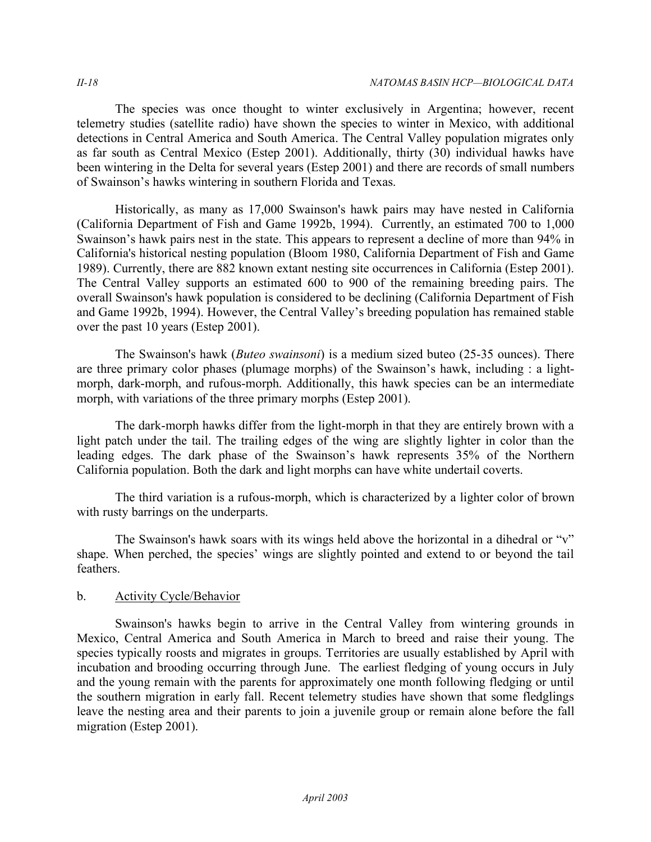The species was once thought to winter exclusively in Argentina; however, recent telemetry studies (satellite radio) have shown the species to winter in Mexico, with additional detections in Central America and South America. The Central Valley population migrates only as far south as Central Mexico (Estep 2001). Additionally, thirty (30) individual hawks have been wintering in the Delta for several years (Estep 2001) and there are records of small numbers of Swainson's hawks wintering in southern Florida and Texas.

Historically, as many as 17,000 Swainson's hawk pairs may have nested in California (California Department of Fish and Game 1992b, 1994). Currently, an estimated 700 to 1,000 Swainson's hawk pairs nest in the state. This appears to represent a decline of more than 94% in California's historical nesting population (Bloom 1980, California Department of Fish and Game 1989). Currently, there are 882 known extant nesting site occurrences in California (Estep 2001). The Central Valley supports an estimated 600 to 900 of the remaining breeding pairs. The overall Swainson's hawk population is considered to be declining (California Department of Fish and Game 1992b, 1994). However, the Central Valley's breeding population has remained stable over the past 10 years (Estep 2001).

The Swainson's hawk (*Buteo swainsoni*) is a medium sized buteo (25-35 ounces). There are three primary color phases (plumage morphs) of the Swainson's hawk, including : a lightmorph, dark-morph, and rufous-morph. Additionally, this hawk species can be an intermediate morph, with variations of the three primary morphs (Estep 2001).

The dark-morph hawks differ from the light-morph in that they are entirely brown with a light patch under the tail. The trailing edges of the wing are slightly lighter in color than the leading edges. The dark phase of the Swainson's hawk represents 35% of the Northern California population. Both the dark and light morphs can have white undertail coverts.

The third variation is a rufous-morph, which is characterized by a lighter color of brown with rusty barrings on the underparts.

The Swainson's hawk soars with its wings held above the horizontal in a dihedral or "v" shape. When perched, the species' wings are slightly pointed and extend to or beyond the tail feathers.

## b. Activity Cycle/Behavior

Swainson's hawks begin to arrive in the Central Valley from wintering grounds in Mexico, Central America and South America in March to breed and raise their young. The species typically roosts and migrates in groups. Territories are usually established by April with incubation and brooding occurring through June. The earliest fledging of young occurs in July and the young remain with the parents for approximately one month following fledging or until the southern migration in early fall. Recent telemetry studies have shown that some fledglings leave the nesting area and their parents to join a juvenile group or remain alone before the fall migration (Estep 2001).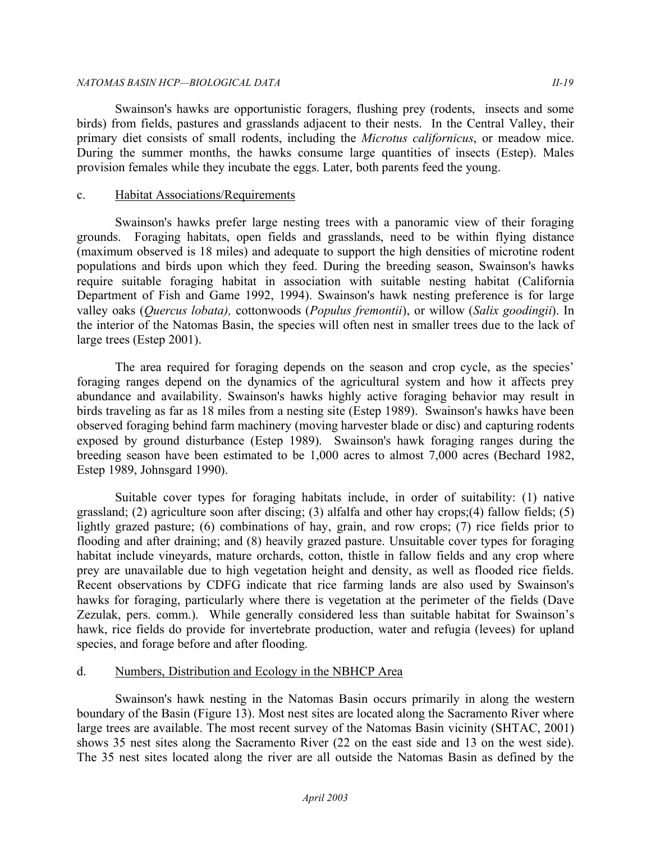#### *NATOMAS BASIN HCP —BIOLOGICAL DATA II-19*

Swainson's hawks are opportunistic foragers, flushing prey (rodents, insects and some birds) from fields, pastures and grasslands adjacent to their nests. In the Central Valley, their primary diet consists of small rodents, including the *Microtus californicus*, or meadow mice. During the summer months, the hawks consume large quantities of insects (Estep). Males provision females while they incubate the eggs. Later, both parents feed the young.

### c. Habitat Associations/Requirements

Swainson's hawks prefer large nesting trees with a panoramic view of their foraging grounds. Foraging habitats, open fields and grasslands, need to be within flying distance (maximum observed is 18 miles) and adequate to support the high densities of microtine rodent populations and birds upon which they feed. During the breeding season, Swainson's hawks require suitable foraging habitat in association with suitable nesting habitat (California Department of Fish and Game 1992, 1994). Swainson's hawk nesting preference is for large valley oaks (*Quercus lobata),* cottonwoods (*Populus fremontii*), or willow (*Salix goodingii*). In the interior of the Natomas Basin, the species will often nest in smaller trees due to the lack of large trees (Estep 2001).

The area required for foraging depends on the season and crop cycle, as the species' foraging ranges depend on the dynamics of the agricultural system and how it affects prey abundance and availability. Swainson's hawks highly active foraging behavior may result in birds traveling as far as 18 miles from a nesting site (Estep 1989). Swainson's hawks have been observed foraging behind farm machinery (moving harvester blade or disc) and capturing rodents exposed by ground disturbance (Estep 1989). Swainson's hawk foraging ranges during the breeding season have been estimated to be 1,000 acres to almost 7,000 acres (Bechard 1982, Estep 1989, Johnsgard 1990).

Suitable cover types for foraging habitats include, in order of suitability: (1) native grassland; (2) agriculture soon after discing; (3) alfalfa and other hay crops;(4) fallow fields; (5) lightly grazed pasture; (6) combinations of hay, grain, and row crops; (7) rice fields prior to flooding and after draining; and (8) heavily grazed pasture. Unsuitable cover types for foraging habitat include vineyards, mature orchards, cotton, thistle in fallow fields and any crop where prey are unavailable due to high vegetation height and density, as well as flooded rice fields. Recent observations by CDFG indicate that rice farming lands are also used by Swainson's hawks for foraging, particularly where there is vegetation at the perimeter of the fields (Dave Zezulak, pers. comm.). While generally considered less than suitable habitat for Swainson's hawk, rice fields do provide for invertebrate production, water and refugia (levees) for upland species, and forage before and after flooding.

## d. Numbers, Distribution and Ecology in the NBHCP Area

Swainson's hawk nesting in the Natomas Basin occurs primarily in along the western boundary of the Basin (Figure 13). Most nest sites are located along the Sacramento River where large trees are available. The most recent survey of the Natomas Basin vicinity (SHTAC, 2001) shows 35 nest sites along the Sacramento River (22 on the east side and 13 on the west side). The 35 nest sites located along the river are all outside the Natomas Basin as defined by the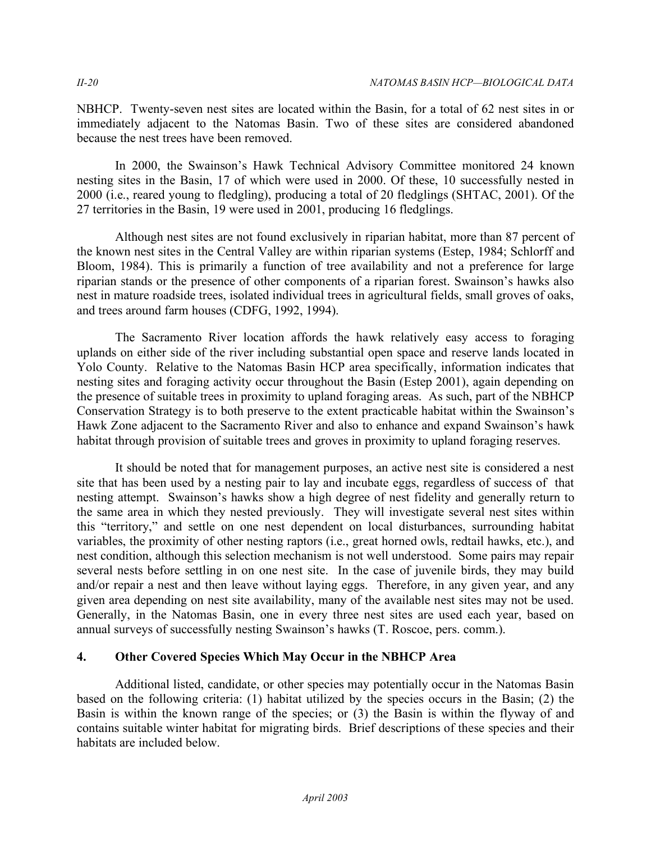NBHCP. Twenty-seven nest sites are located within the Basin, for a total of 62 nest sites in or immediately adjacent to the Natomas Basin. Two of these sites are considered abandoned because the nest trees have been removed.

In 2000, the Swainson's Hawk Technical Advisory Committee monitored 24 known nesting sites in the Basin, 17 of which were used in 2000. Of these, 10 successfully nested in 2000 (i.e., reared young to fledgling), producing a total of 20 fledglings (SHTAC, 2001). Of the 27 territories in the Basin, 19 were used in 2001, producing 16 fledglings.

Although nest sites are not found exclusively in riparian habitat, more than 87 percent of the known nest sites in the Central Valley are within riparian systems (Estep, 1984; Schlorff and Bloom, 1984). This is primarily a function of tree availability and not a preference for large riparian stands or the presence of other components of a riparian forest. Swainson's hawks also nest in mature roadside trees, isolated individual trees in agricultural fields, small groves of oaks, and trees around farm houses (CDFG, 1992, 1994).

The Sacramento River location affords the hawk relatively easy access to foraging uplands on either side of the river including substantial open space and reserve lands located in Yolo County. Relative to the Natomas Basin HCP area specifically, information indicates that nesting sites and foraging activity occur throughout the Basin (Estep 2001), again depending on the presence of suitable trees in proximity to upland foraging areas. As such, part of the NBHCP Conservation Strategy is to both preserve to the extent practicable habitat within the Swainson's Hawk Zone adjacent to the Sacramento River and also to enhance and expand Swainson's hawk habitat through provision of suitable trees and groves in proximity to upland foraging reserves.

It should be noted that for management purposes, an active nest site is considered a nest site that has been used by a nesting pair to lay and incubate eggs, regardless of success of that nesting attempt. Swainson's hawks show a high degree of nest fidelity and generally return to the same area in which they nested previously. They will investigate several nest sites within this "territory," and settle on one nest dependent on local disturbances, surrounding habitat variables, the proximity of other nesting raptors (i.e., great horned owls, redtail hawks, etc.), and nest condition, although this selection mechanism is not well understood. Some pairs may repair several nests before settling in on one nest site. In the case of juvenile birds, they may build and/or repair a nest and then leave without laying eggs. Therefore, in any given year, and any given area depending on nest site availability, many of the available nest sites may not be used. Generally, in the Natomas Basin, one in every three nest sites are used each year, based on annual surveys of successfully nesting Swainson's hawks (T. Roscoe, pers. comm.).

## **4. Other Covered Species Which May Occur in the NBHCP Area**

Additional listed, candidate, or other species may potentially occur in the Natomas Basin based on the following criteria: (1) habitat utilized by the species occurs in the Basin; (2) the Basin is within the known range of the species; or (3) the Basin is within the flyway of and contains suitable winter habitat for migrating birds. Brief descriptions of these species and their habitats are included below.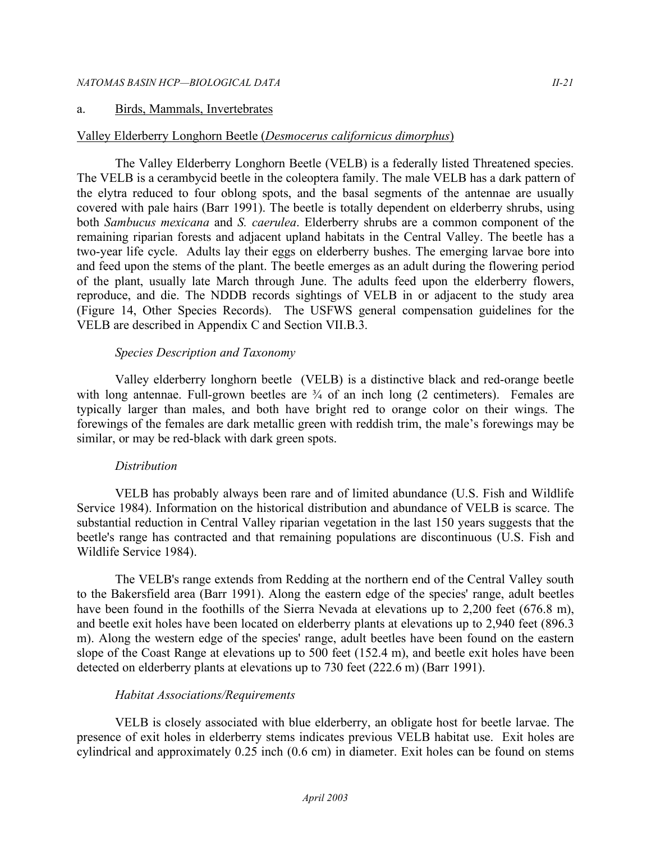#### a. Birds, Mammals, Invertebrates

### Valley Elderberry Longhorn Beetle (*Desmocerus californicus dimorphus*)

The Valley Elderberry Longhorn Beetle (VELB) is a federally listed Threatened species. The VELB is a cerambycid beetle in the coleoptera family. The male VELB has a dark pattern of the elytra reduced to four oblong spots, and the basal segments of the antennae are usually covered with pale hairs (Barr 1991). The beetle is totally dependent on elderberry shrubs, using both *Sambucus mexicana* and *S. caerulea*. Elderberry shrubs are a common component of the remaining riparian forests and adjacent upland habitats in the Central Valley. The beetle has a two-year life cycle. Adults lay their eggs on elderberry bushes. The emerging larvae bore into and feed upon the stems of the plant. The beetle emerges as an adult during the flowering period of the plant, usually late March through June. The adults feed upon the elderberry flowers, reproduce, and die. The NDDB records sightings of VELB in or adjacent to the study area (Figure 14, Other Species Records). The USFWS general compensation guidelines for the VELB are described in Appendix C and Section VII.B.3.

### *Species Description and Taxonomy*

Valley elderberry longhorn beetle (VELB) is a distinctive black and red-orange beetle with long antennae. Full-grown beetles are  $\frac{3}{4}$  of an inch long (2 centimeters). Females are typically larger than males, and both have bright red to orange color on their wings. The forewings of the females are dark metallic green with reddish trim, the male's forewings may be similar, or may be red-black with dark green spots.

#### *Distribution*

 VELB has probably always been rare and of limited abundance (U.S. Fish and Wildlife Service 1984). Information on the historical distribution and abundance of VELB is scarce. The substantial reduction in Central Valley riparian vegetation in the last 150 years suggests that the beetle's range has contracted and that remaining populations are discontinuous (U.S. Fish and Wildlife Service 1984).

 The VELB's range extends from Redding at the northern end of the Central Valley south to the Bakersfield area (Barr 1991). Along the eastern edge of the species' range, adult beetles have been found in the foothills of the Sierra Nevada at elevations up to 2,200 feet (676.8 m), and beetle exit holes have been located on elderberry plants at elevations up to 2,940 feet (896.3 m). Along the western edge of the species' range, adult beetles have been found on the eastern slope of the Coast Range at elevations up to 500 feet (152.4 m), and beetle exit holes have been detected on elderberry plants at elevations up to 730 feet (222.6 m) (Barr 1991).

## *Habitat Associations/Requirements*

VELB is closely associated with blue elderberry, an obligate host for beetle larvae. The presence of exit holes in elderberry stems indicates previous VELB habitat use. Exit holes are cylindrical and approximately 0.25 inch (0.6 cm) in diameter. Exit holes can be found on stems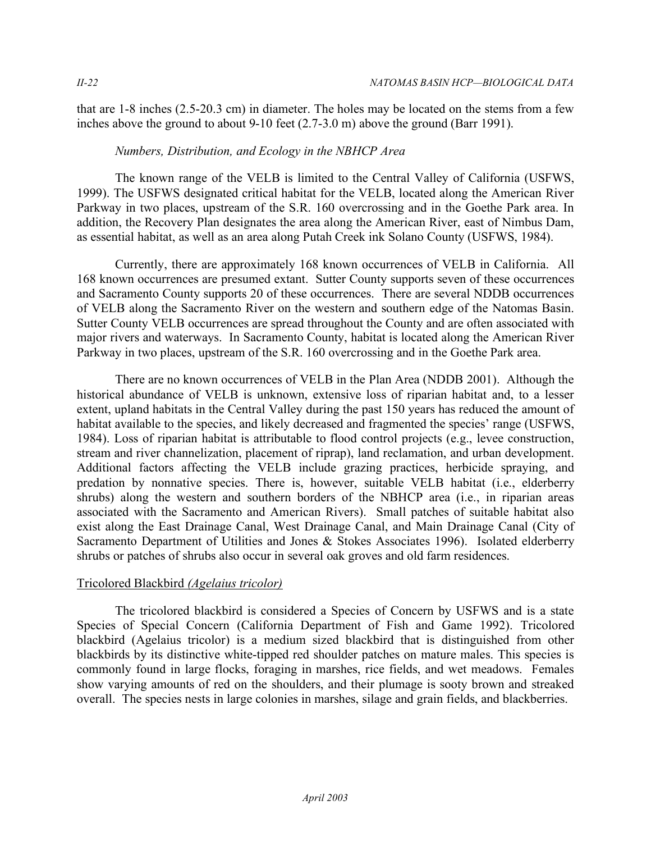that are 1-8 inches (2.5-20.3 cm) in diameter. The holes may be located on the stems from a few inches above the ground to about 9-10 feet (2.7-3.0 m) above the ground (Barr 1991).

## *Numbers, Distribution, and Ecology in the NBHCP Area*

The known range of the VELB is limited to the Central Valley of California (USFWS, 1999). The USFWS designated critical habitat for the VELB, located along the American River Parkway in two places, upstream of the S.R. 160 overcrossing and in the Goethe Park area. In addition, the Recovery Plan designates the area along the American River, east of Nimbus Dam, as essential habitat, as well as an area along Putah Creek ink Solano County (USFWS, 1984).

Currently, there are approximately 168 known occurrences of VELB in California. All 168 known occurrences are presumed extant. Sutter County supports seven of these occurrences and Sacramento County supports 20 of these occurrences. There are several NDDB occurrences of VELB along the Sacramento River on the western and southern edge of the Natomas Basin. Sutter County VELB occurrences are spread throughout the County and are often associated with major rivers and waterways. In Sacramento County, habitat is located along the American River Parkway in two places, upstream of the S.R. 160 overcrossing and in the Goethe Park area.

There are no known occurrences of VELB in the Plan Area (NDDB 2001). Although the historical abundance of VELB is unknown, extensive loss of riparian habitat and, to a lesser extent, upland habitats in the Central Valley during the past 150 years has reduced the amount of habitat available to the species, and likely decreased and fragmented the species' range (USFWS, 1984). Loss of riparian habitat is attributable to flood control projects (e.g., levee construction, stream and river channelization, placement of riprap), land reclamation, and urban development. Additional factors affecting the VELB include grazing practices, herbicide spraying, and predation by nonnative species. There is, however, suitable VELB habitat (i.e., elderberry shrubs) along the western and southern borders of the NBHCP area (i.e., in riparian areas associated with the Sacramento and American Rivers). Small patches of suitable habitat also exist along the East Drainage Canal, West Drainage Canal, and Main Drainage Canal (City of Sacramento Department of Utilities and Jones & Stokes Associates 1996). Isolated elderberry shrubs or patches of shrubs also occur in several oak groves and old farm residences.

## Tricolored Blackbird *(Agelaius tricolor)*

The tricolored blackbird is considered a Species of Concern by USFWS and is a state Species of Special Concern (California Department of Fish and Game 1992). Tricolored blackbird (Agelaius tricolor) is a medium sized blackbird that is distinguished from other blackbirds by its distinctive white-tipped red shoulder patches on mature males. This species is commonly found in large flocks, foraging in marshes, rice fields, and wet meadows. Females show varying amounts of red on the shoulders, and their plumage is sooty brown and streaked overall. The species nests in large colonies in marshes, silage and grain fields, and blackberries.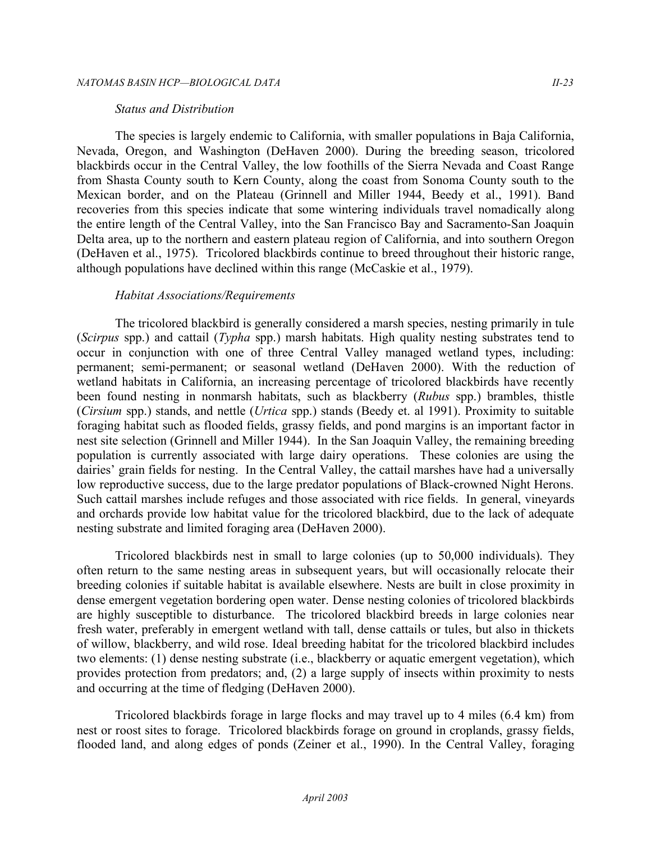#### *Status and Distribution*

The species is largely endemic to California, with smaller populations in Baja California, Nevada, Oregon, and Washington (DeHaven 2000). During the breeding season, tricolored blackbirds occur in the Central Valley, the low foothills of the Sierra Nevada and Coast Range from Shasta County south to Kern County, along the coast from Sonoma County south to the Mexican border, and on the Plateau (Grinnell and Miller 1944, Beedy et al., 1991). Band recoveries from this species indicate that some wintering individuals travel nomadically along the entire length of the Central Valley, into the San Francisco Bay and Sacramento-San Joaquin Delta area, up to the northern and eastern plateau region of California, and into southern Oregon (DeHaven et al., 1975). Tricolored blackbirds continue to breed throughout their historic range, although populations have declined within this range (McCaskie et al., 1979).

#### *Habitat Associations/Requirements*

The tricolored blackbird is generally considered a marsh species, nesting primarily in tule (*Scirpus* spp.) and cattail (*Typha* spp.) marsh habitats. High quality nesting substrates tend to occur in conjunction with one of three Central Valley managed wetland types, including: permanent; semi-permanent; or seasonal wetland (DeHaven 2000). With the reduction of wetland habitats in California, an increasing percentage of tricolored blackbirds have recently been found nesting in nonmarsh habitats, such as blackberry (*Rubus* spp.) brambles, thistle (*Cirsium* spp.) stands, and nettle (*Urtica* spp.) stands (Beedy et. al 1991). Proximity to suitable foraging habitat such as flooded fields, grassy fields, and pond margins is an important factor in nest site selection (Grinnell and Miller 1944). In the San Joaquin Valley, the remaining breeding population is currently associated with large dairy operations. These colonies are using the dairies' grain fields for nesting. In the Central Valley, the cattail marshes have had a universally low reproductive success, due to the large predator populations of Black-crowned Night Herons. Such cattail marshes include refuges and those associated with rice fields. In general, vineyards and orchards provide low habitat value for the tricolored blackbird, due to the lack of adequate nesting substrate and limited foraging area (DeHaven 2000).

Tricolored blackbirds nest in small to large colonies (up to 50,000 individuals). They often return to the same nesting areas in subsequent years, but will occasionally relocate their breeding colonies if suitable habitat is available elsewhere. Nests are built in close proximity in dense emergent vegetation bordering open water. Dense nesting colonies of tricolored blackbirds are highly susceptible to disturbance. The tricolored blackbird breeds in large colonies near fresh water, preferably in emergent wetland with tall, dense cattails or tules, but also in thickets of willow, blackberry, and wild rose. Ideal breeding habitat for the tricolored blackbird includes two elements: (1) dense nesting substrate (i.e., blackberry or aquatic emergent vegetation), which provides protection from predators; and, (2) a large supply of insects within proximity to nests and occurring at the time of fledging (DeHaven 2000).

Tricolored blackbirds forage in large flocks and may travel up to 4 miles (6.4 km) from nest or roost sites to forage. Tricolored blackbirds forage on ground in croplands, grassy fields, flooded land, and along edges of ponds (Zeiner et al., 1990). In the Central Valley, foraging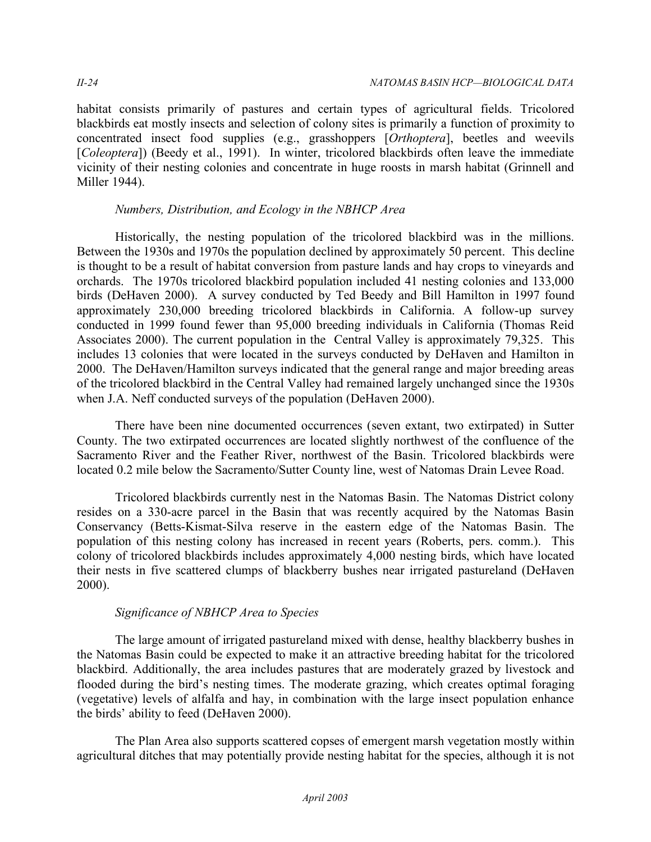habitat consists primarily of pastures and certain types of agricultural fields. Tricolored blackbirds eat mostly insects and selection of colony sites is primarily a function of proximity to concentrated insect food supplies (e.g., grasshoppers [*Orthoptera*], beetles and weevils [*Coleoptera*]) (Beedy et al., 1991). In winter, tricolored blackbirds often leave the immediate vicinity of their nesting colonies and concentrate in huge roosts in marsh habitat (Grinnell and Miller 1944).

## *Numbers, Distribution, and Ecology in the NBHCP Area*

Historically, the nesting population of the tricolored blackbird was in the millions. Between the 1930s and 1970s the population declined by approximately 50 percent. This decline is thought to be a result of habitat conversion from pasture lands and hay crops to vineyards and orchards. The 1970s tricolored blackbird population included 41 nesting colonies and 133,000 birds (DeHaven 2000). A survey conducted by Ted Beedy and Bill Hamilton in 1997 found approximately 230,000 breeding tricolored blackbirds in California. A follow-up survey conducted in 1999 found fewer than 95,000 breeding individuals in California (Thomas Reid Associates 2000). The current population in the Central Valley is approximately 79,325. This includes 13 colonies that were located in the surveys conducted by DeHaven and Hamilton in 2000. The DeHaven/Hamilton surveys indicated that the general range and major breeding areas of the tricolored blackbird in the Central Valley had remained largely unchanged since the 1930s when J.A. Neff conducted surveys of the population (DeHaven 2000).

There have been nine documented occurrences (seven extant, two extirpated) in Sutter County. The two extirpated occurrences are located slightly northwest of the confluence of the Sacramento River and the Feather River, northwest of the Basin. Tricolored blackbirds were located 0.2 mile below the Sacramento/Sutter County line, west of Natomas Drain Levee Road.

Tricolored blackbirds currently nest in the Natomas Basin. The Natomas District colony resides on a 330-acre parcel in the Basin that was recently acquired by the Natomas Basin Conservancy (Betts-Kismat-Silva reserve in the eastern edge of the Natomas Basin. The population of this nesting colony has increased in recent years (Roberts, pers. comm.). This colony of tricolored blackbirds includes approximately 4,000 nesting birds, which have located their nests in five scattered clumps of blackberry bushes near irrigated pastureland (DeHaven 2000).

## *Significance of NBHCP Area to Species*

The large amount of irrigated pastureland mixed with dense, healthy blackberry bushes in the Natomas Basin could be expected to make it an attractive breeding habitat for the tricolored blackbird. Additionally, the area includes pastures that are moderately grazed by livestock and flooded during the bird's nesting times. The moderate grazing, which creates optimal foraging (vegetative) levels of alfalfa and hay, in combination with the large insect population enhance the birds' ability to feed (DeHaven 2000).

The Plan Area also supports scattered copses of emergent marsh vegetation mostly within agricultural ditches that may potentially provide nesting habitat for the species, although it is not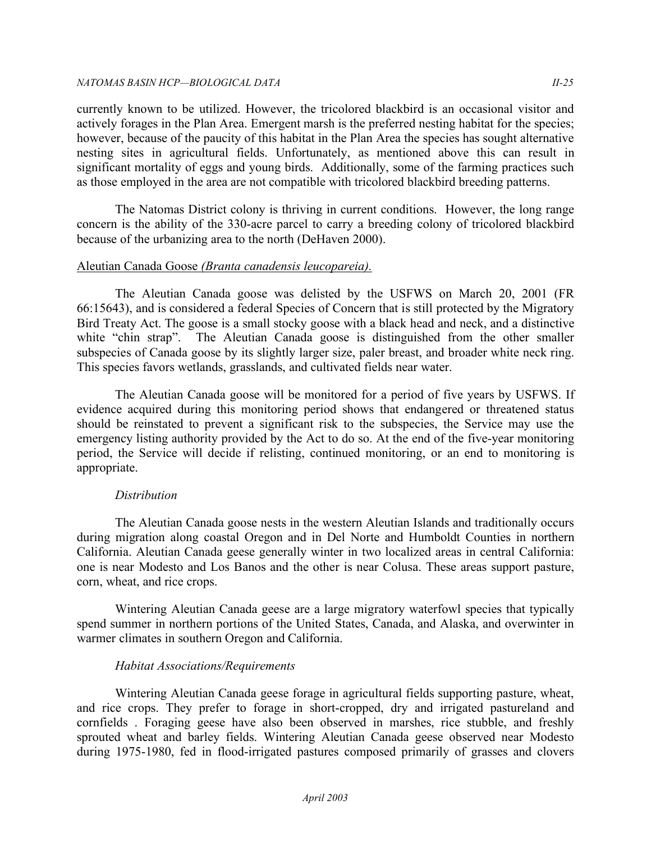#### *NATOMAS BASIN HCP —BIOLOGICAL DATA II-25*

currently known to be utilized. However, the tricolored blackbird is an occasional visitor and actively forages in the Plan Area. Emergent marsh is the preferred nesting habitat for the species; however, because of the paucity of this habitat in the Plan Area the species has sought alternative nesting sites in agricultural fields. Unfortunately, as mentioned above this can result in significant mortality of eggs and young birds. Additionally, some of the farming practices such as those employed in the area are not compatible with tricolored blackbird breeding patterns.

The Natomas District colony is thriving in current conditions. However, the long range concern is the ability of the 330-acre parcel to carry a breeding colony of tricolored blackbird because of the urbanizing area to the north (DeHaven 2000).

## Aleutian Canada Goose *(Branta canadensis leucopareia).*

The Aleutian Canada goose was delisted by the USFWS on March 20, 2001 (FR 66:15643), and is considered a federal Species of Concern that is still protected by the Migratory Bird Treaty Act. The goose is a small stocky goose with a black head and neck, and a distinctive white "chin strap". The Aleutian Canada goose is distinguished from the other smaller subspecies of Canada goose by its slightly larger size, paler breast, and broader white neck ring. This species favors wetlands, grasslands, and cultivated fields near water.

The Aleutian Canada goose will be monitored for a period of five years by USFWS. If evidence acquired during this monitoring period shows that endangered or threatened status should be reinstated to prevent a significant risk to the subspecies, the Service may use the emergency listing authority provided by the Act to do so. At the end of the five-year monitoring period, the Service will decide if relisting, continued monitoring, or an end to monitoring is appropriate.

## *Distribution*

The Aleutian Canada goose nests in the western Aleutian Islands and traditionally occurs during migration along coastal Oregon and in Del Norte and Humboldt Counties in northern California. Aleutian Canada geese generally winter in two localized areas in central California: one is near Modesto and Los Banos and the other is near Colusa. These areas support pasture, corn, wheat, and rice crops.

Wintering Aleutian Canada geese are a large migratory waterfowl species that typically spend summer in northern portions of the United States, Canada, and Alaska, and overwinter in warmer climates in southern Oregon and California.

## *Habitat Associations/Requirements*

Wintering Aleutian Canada geese forage in agricultural fields supporting pasture, wheat, and rice crops. They prefer to forage in short-cropped, dry and irrigated pastureland and cornfields . Foraging geese have also been observed in marshes, rice stubble, and freshly sprouted wheat and barley fields. Wintering Aleutian Canada geese observed near Modesto during 1975-1980, fed in flood-irrigated pastures composed primarily of grasses and clovers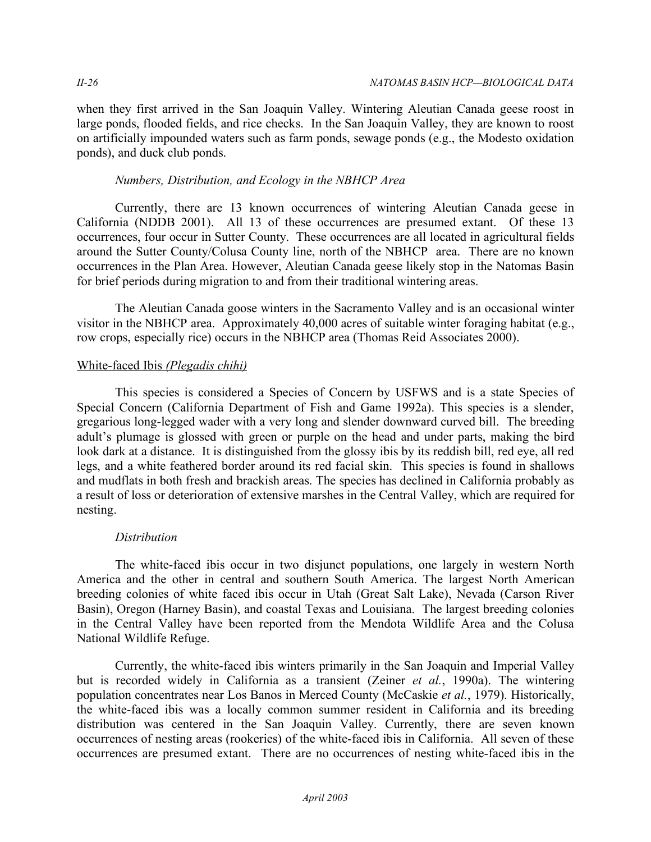when they first arrived in the San Joaquin Valley. Wintering Aleutian Canada geese roost in large ponds, flooded fields, and rice checks. In the San Joaquin Valley, they are known to roost on artificially impounded waters such as farm ponds, sewage ponds (e.g., the Modesto oxidation ponds), and duck club ponds.

### *Numbers, Distribution, and Ecology in the NBHCP Area*

Currently, there are 13 known occurrences of wintering Aleutian Canada geese in California (NDDB 2001). All 13 of these occurrences are presumed extant. Of these 13 occurrences, four occur in Sutter County. These occurrences are all located in agricultural fields around the Sutter County/Colusa County line, north of the NBHCP area. There are no known occurrences in the Plan Area. However, Aleutian Canada geese likely stop in the Natomas Basin for brief periods during migration to and from their traditional wintering areas.

The Aleutian Canada goose winters in the Sacramento Valley and is an occasional winter visitor in the NBHCP area. Approximately 40,000 acres of suitable winter foraging habitat (e.g., row crops, especially rice) occurs in the NBHCP area (Thomas Reid Associates 2000).

## White-faced Ibis *(Plegadis chihi)*

This species is considered a Species of Concern by USFWS and is a state Species of Special Concern (California Department of Fish and Game 1992a). This species is a slender, gregarious long-legged wader with a very long and slender downward curved bill. The breeding adult's plumage is glossed with green or purple on the head and under parts, making the bird look dark at a distance. It is distinguished from the glossy ibis by its reddish bill, red eye, all red legs, and a white feathered border around its red facial skin. This species is found in shallows and mudflats in both fresh and brackish areas. The species has declined in California probably as a result of loss or deterioration of extensive marshes in the Central Valley, which are required for nesting.

## *Distribution*

The white-faced ibis occur in two disjunct populations, one largely in western North America and the other in central and southern South America. The largest North American breeding colonies of white faced ibis occur in Utah (Great Salt Lake), Nevada (Carson River Basin), Oregon (Harney Basin), and coastal Texas and Louisiana. The largest breeding colonies in the Central Valley have been reported from the Mendota Wildlife Area and the Colusa National Wildlife Refuge.

Currently, the white-faced ibis winters primarily in the San Joaquin and Imperial Valley but is recorded widely in California as a transient (Zeiner *et al.*, 1990a). The wintering population concentrates near Los Banos in Merced County (McCaskie *et al.*, 1979). Historically, the white-faced ibis was a locally common summer resident in California and its breeding distribution was centered in the San Joaquin Valley. Currently, there are seven known occurrences of nesting areas (rookeries) of the white-faced ibis in California. All seven of these occurrences are presumed extant. There are no occurrences of nesting white-faced ibis in the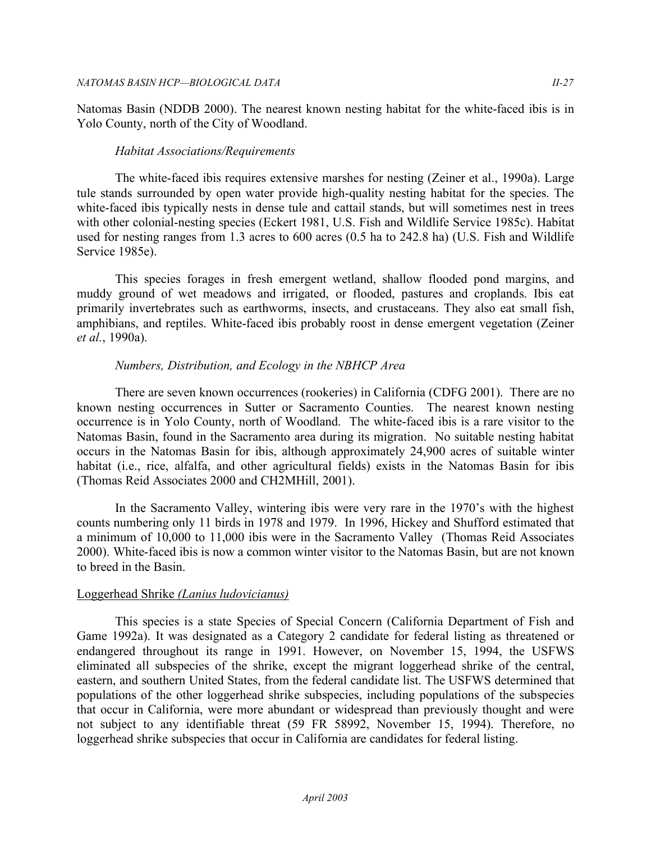Natomas Basin (NDDB 2000). The nearest known nesting habitat for the white-faced ibis is in Yolo County, north of the City of Woodland.

#### *Habitat Associations/Requirements*

The white-faced ibis requires extensive marshes for nesting (Zeiner et al., 1990a). Large tule stands surrounded by open water provide high-quality nesting habitat for the species. The white-faced ibis typically nests in dense tule and cattail stands, but will sometimes nest in trees with other colonial-nesting species (Eckert 1981, U.S. Fish and Wildlife Service 1985c). Habitat used for nesting ranges from 1.3 acres to 600 acres (0.5 ha to 242.8 ha) (U.S. Fish and Wildlife Service 1985e).

This species forages in fresh emergent wetland, shallow flooded pond margins, and muddy ground of wet meadows and irrigated, or flooded, pastures and croplands. Ibis eat primarily invertebrates such as earthworms, insects, and crustaceans. They also eat small fish, amphibians, and reptiles. White-faced ibis probably roost in dense emergent vegetation (Zeiner *et al.*, 1990a).

## *Numbers, Distribution, and Ecology in the NBHCP Area*

There are seven known occurrences (rookeries) in California (CDFG 2001). There are no known nesting occurrences in Sutter or Sacramento Counties. The nearest known nesting occurrence is in Yolo County, north of Woodland. The white-faced ibis is a rare visitor to the Natomas Basin, found in the Sacramento area during its migration. No suitable nesting habitat occurs in the Natomas Basin for ibis, although approximately 24,900 acres of suitable winter habitat (i.e., rice, alfalfa, and other agricultural fields) exists in the Natomas Basin for ibis (Thomas Reid Associates 2000 and CH2MHill, 2001).

In the Sacramento Valley, wintering ibis were very rare in the 1970's with the highest counts numbering only 11 birds in 1978 and 1979. In 1996, Hickey and Shufford estimated that a minimum of 10,000 to 11,000 ibis were in the Sacramento Valley (Thomas Reid Associates 2000). White-faced ibis is now a common winter visitor to the Natomas Basin, but are not known to breed in the Basin.

## Loggerhead Shrike *(Lanius ludovicianus)*

This species is a state Species of Special Concern (California Department of Fish and Game 1992a). It was designated as a Category 2 candidate for federal listing as threatened or endangered throughout its range in 1991. However, on November 15, 1994, the USFWS eliminated all subspecies of the shrike, except the migrant loggerhead shrike of the central, eastern, and southern United States, from the federal candidate list. The USFWS determined that populations of the other loggerhead shrike subspecies, including populations of the subspecies that occur in California, were more abundant or widespread than previously thought and were not subject to any identifiable threat (59 FR 58992, November 15, 1994). Therefore, no loggerhead shrike subspecies that occur in California are candidates for federal listing.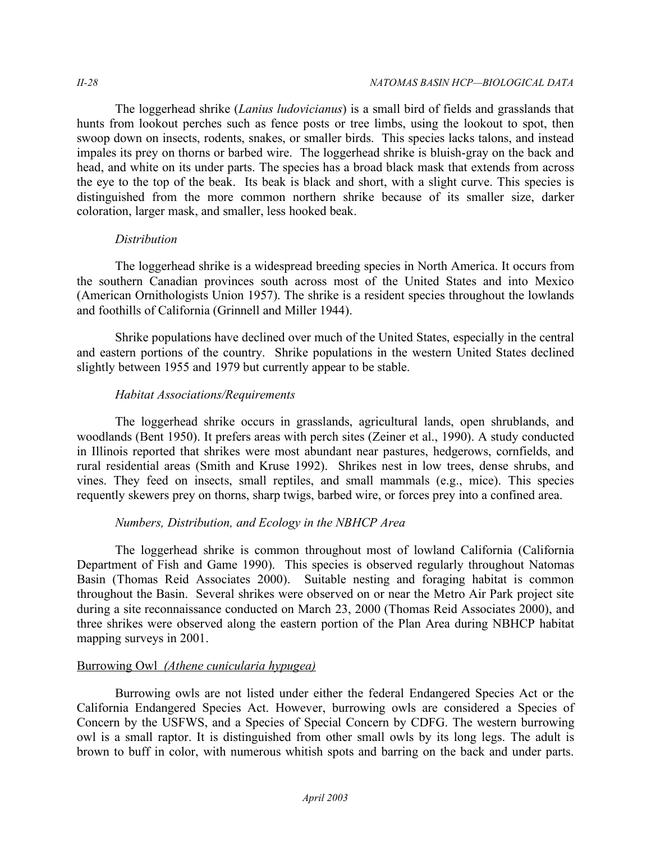The loggerhead shrike (*Lanius ludovicianus*) is a small bird of fields and grasslands that hunts from lookout perches such as fence posts or tree limbs, using the lookout to spot, then swoop down on insects, rodents, snakes, or smaller birds. This species lacks talons, and instead impales its prey on thorns or barbed wire. The loggerhead shrike is bluish-gray on the back and head, and white on its under parts. The species has a broad black mask that extends from across the eye to the top of the beak. Its beak is black and short, with a slight curve. This species is distinguished from the more common northern shrike because of its smaller size, darker coloration, larger mask, and smaller, less hooked beak.

## *Distribution*

The loggerhead shrike is a widespread breeding species in North America. It occurs from the southern Canadian provinces south across most of the United States and into Mexico (American Ornithologists Union 1957). The shrike is a resident species throughout the lowlands and foothills of California (Grinnell and Miller 1944).

Shrike populations have declined over much of the United States, especially in the central and eastern portions of the country. Shrike populations in the western United States declined slightly between 1955 and 1979 but currently appear to be stable.

## *Habitat Associations/Requirements*

The loggerhead shrike occurs in grasslands, agricultural lands, open shrublands, and woodlands (Bent 1950). It prefers areas with perch sites (Zeiner et al., 1990). A study conducted in Illinois reported that shrikes were most abundant near pastures, hedgerows, cornfields, and rural residential areas (Smith and Kruse 1992). Shrikes nest in low trees, dense shrubs, and vines. They feed on insects, small reptiles, and small mammals (e.g., mice). This species requently skewers prey on thorns, sharp twigs, barbed wire, or forces prey into a confined area.

## *Numbers, Distribution, and Ecology in the NBHCP Area*

The loggerhead shrike is common throughout most of lowland California (California Department of Fish and Game 1990). This species is observed regularly throughout Natomas Basin (Thomas Reid Associates 2000). Suitable nesting and foraging habitat is common throughout the Basin. Several shrikes were observed on or near the Metro Air Park project site during a site reconnaissance conducted on March 23, 2000 (Thomas Reid Associates 2000), and three shrikes were observed along the eastern portion of the Plan Area during NBHCP habitat mapping surveys in 2001.

## Burrowing Owl *(Athene cunicularia hypugea)*

Burrowing owls are not listed under either the federal Endangered Species Act or the California Endangered Species Act. However, burrowing owls are considered a Species of Concern by the USFWS, and a Species of Special Concern by CDFG. The western burrowing owl is a small raptor. It is distinguished from other small owls by its long legs. The adult is brown to buff in color, with numerous whitish spots and barring on the back and under parts.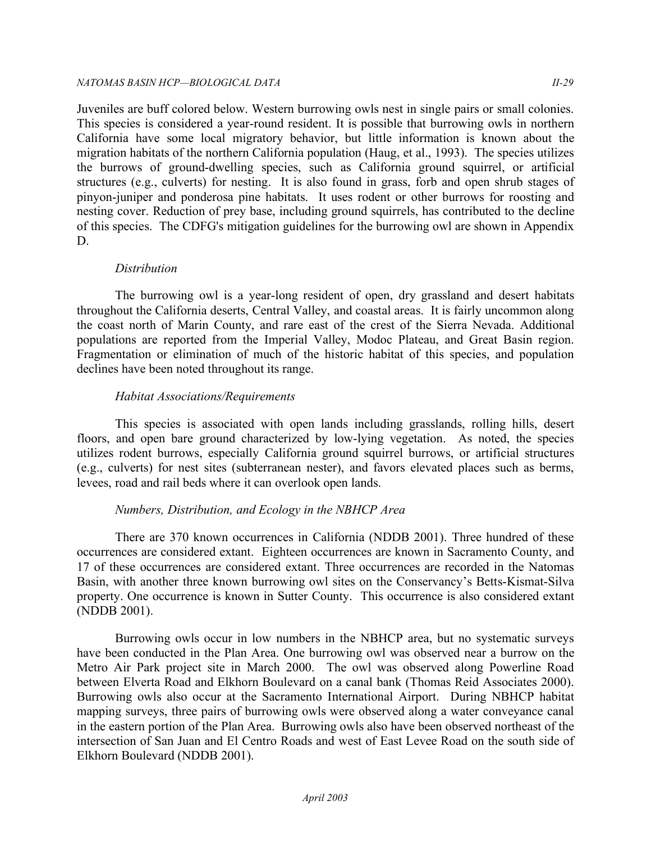#### *NATOMAS BASIN HCP —BIOLOGICAL DATA II-29*

Juveniles are buff colored below. Western burrowing owls nest in single pairs or small colonies. This species is considered a year-round resident. It is possible that burrowing owls in northern California have some local migratory behavior, but little information is known about the migration habitats of the northern California population (Haug, et al., 1993). The species utilizes the burrows of ground-dwelling species, such as California ground squirrel, or artificial structures (e.g., culverts) for nesting. It is also found in grass, forb and open shrub stages of pinyon-juniper and ponderosa pine habitats. It uses rodent or other burrows for roosting and nesting cover. Reduction of prey base, including ground squirrels, has contributed to the decline of this species. The CDFG's mitigation guidelines for the burrowing owl are shown in Appendix D.

## *Distribution*

The burrowing owl is a year-long resident of open, dry grassland and desert habitats throughout the California deserts, Central Valley, and coastal areas. It is fairly uncommon along the coast north of Marin County, and rare east of the crest of the Sierra Nevada. Additional populations are reported from the Imperial Valley, Modoc Plateau, and Great Basin region. Fragmentation or elimination of much of the historic habitat of this species, and population declines have been noted throughout its range.

## *Habitat Associations/Requirements*

This species is associated with open lands including grasslands, rolling hills, desert floors, and open bare ground characterized by low-lying vegetation. As noted, the species utilizes rodent burrows, especially California ground squirrel burrows, or artificial structures (e.g., culverts) for nest sites (subterranean nester), and favors elevated places such as berms, levees, road and rail beds where it can overlook open lands.

## *Numbers, Distribution, and Ecology in the NBHCP Area*

There are 370 known occurrences in California (NDDB 2001). Three hundred of these occurrences are considered extant. Eighteen occurrences are known in Sacramento County, and 17 of these occurrences are considered extant. Three occurrences are recorded in the Natomas Basin, with another three known burrowing owl sites on the Conservancy's Betts-Kismat-Silva property. One occurrence is known in Sutter County. This occurrence is also considered extant (NDDB 2001).

Burrowing owls occur in low numbers in the NBHCP area, but no systematic surveys have been conducted in the Plan Area. One burrowing owl was observed near a burrow on the Metro Air Park project site in March 2000. The owl was observed along Powerline Road between Elverta Road and Elkhorn Boulevard on a canal bank (Thomas Reid Associates 2000). Burrowing owls also occur at the Sacramento International Airport. During NBHCP habitat mapping surveys, three pairs of burrowing owls were observed along a water conveyance canal in the eastern portion of the Plan Area. Burrowing owls also have been observed northeast of the intersection of San Juan and El Centro Roads and west of East Levee Road on the south side of Elkhorn Boulevard (NDDB 2001).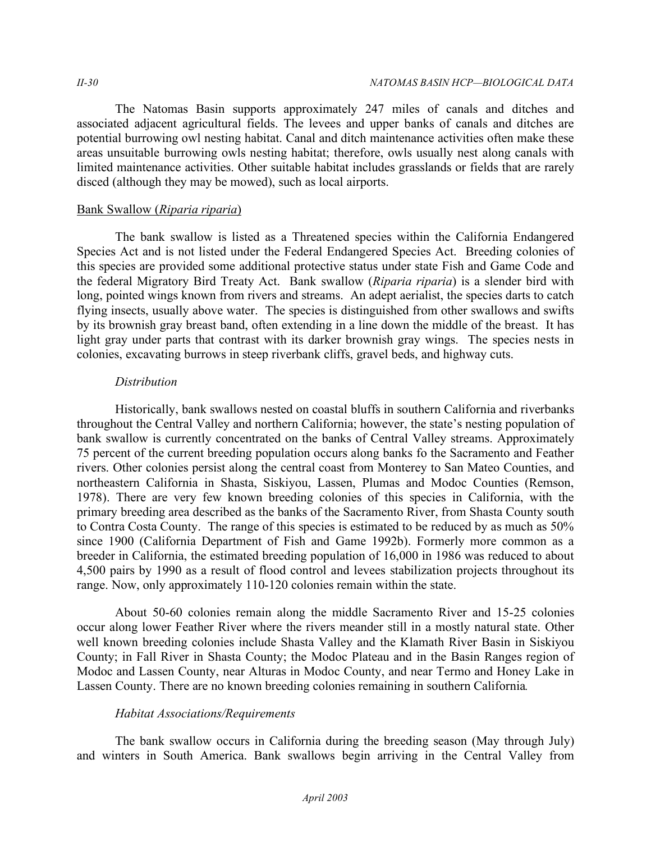The Natomas Basin supports approximately 247 miles of canals and ditches and associated adjacent agricultural fields. The levees and upper banks of canals and ditches are potential burrowing owl nesting habitat. Canal and ditch maintenance activities often make these areas unsuitable burrowing owls nesting habitat; therefore, owls usually nest along canals with limited maintenance activities. Other suitable habitat includes grasslands or fields that are rarely disced (although they may be mowed), such as local airports.

### Bank Swallow (*Riparia riparia*)

The bank swallow is listed as a Threatened species within the California Endangered Species Act and is not listed under the Federal Endangered Species Act. Breeding colonies of this species are provided some additional protective status under state Fish and Game Code and the federal Migratory Bird Treaty Act. Bank swallow (*Riparia riparia*) is a slender bird with long, pointed wings known from rivers and streams. An adept aerialist, the species darts to catch flying insects, usually above water. The species is distinguished from other swallows and swifts by its brownish gray breast band, often extending in a line down the middle of the breast. It has light gray under parts that contrast with its darker brownish gray wings. The species nests in colonies, excavating burrows in steep riverbank cliffs, gravel beds, and highway cuts.

### *Distribution*

Historically, bank swallows nested on coastal bluffs in southern California and riverbanks throughout the Central Valley and northern California; however, the state's nesting population of bank swallow is currently concentrated on the banks of Central Valley streams. Approximately 75 percent of the current breeding population occurs along banks fo the Sacramento and Feather rivers. Other colonies persist along the central coast from Monterey to San Mateo Counties, and northeastern California in Shasta, Siskiyou, Lassen, Plumas and Modoc Counties (Remson, 1978). There are very few known breeding colonies of this species in California, with the primary breeding area described as the banks of the Sacramento River, from Shasta County south to Contra Costa County. The range of this species is estimated to be reduced by as much as 50% since 1900 (California Department of Fish and Game 1992b). Formerly more common as a breeder in California, the estimated breeding population of 16,000 in 1986 was reduced to about 4,500 pairs by 1990 as a result of flood control and levees stabilization projects throughout its range. Now, only approximately 110-120 colonies remain within the state.

About 50-60 colonies remain along the middle Sacramento River and 15-25 colonies occur along lower Feather River where the rivers meander still in a mostly natural state. Other well known breeding colonies include Shasta Valley and the Klamath River Basin in Siskiyou County; in Fall River in Shasta County; the Modoc Plateau and in the Basin Ranges region of Modoc and Lassen County, near Alturas in Modoc County, and near Termo and Honey Lake in Lassen County. There are no known breeding colonies remaining in southern California*.* 

## *Habitat Associations/Requirements*

The bank swallow occurs in California during the breeding season (May through July) and winters in South America. Bank swallows begin arriving in the Central Valley from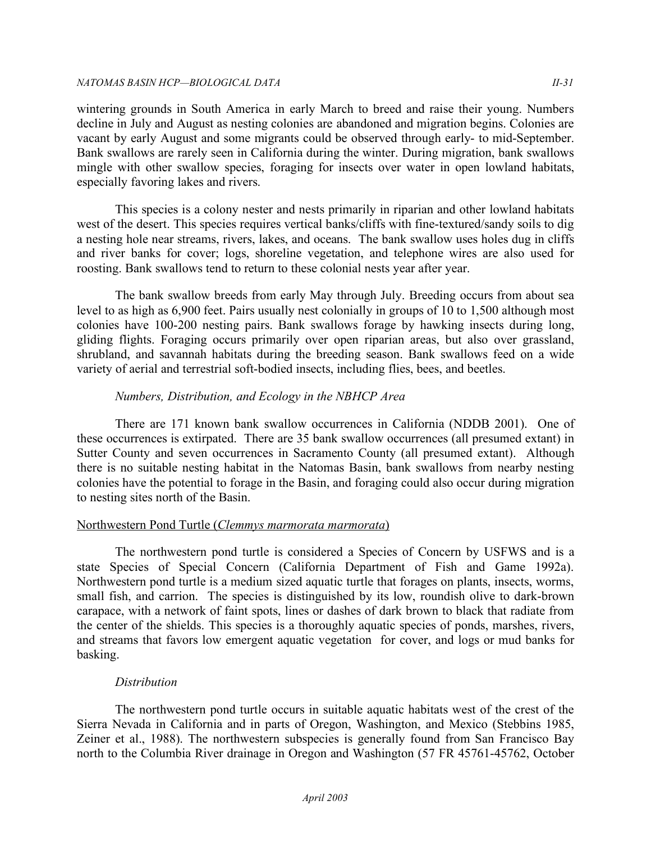wintering grounds in South America in early March to breed and raise their young. Numbers decline in July and August as nesting colonies are abandoned and migration begins. Colonies are vacant by early August and some migrants could be observed through early- to mid-September. Bank swallows are rarely seen in California during the winter. During migration, bank swallows mingle with other swallow species, foraging for insects over water in open lowland habitats, especially favoring lakes and rivers.

This species is a colony nester and nests primarily in riparian and other lowland habitats west of the desert. This species requires vertical banks/cliffs with fine-textured/sandy soils to dig a nesting hole near streams, rivers, lakes, and oceans. The bank swallow uses holes dug in cliffs and river banks for cover; logs, shoreline vegetation, and telephone wires are also used for roosting. Bank swallows tend to return to these colonial nests year after year.

The bank swallow breeds from early May through July. Breeding occurs from about sea level to as high as 6,900 feet. Pairs usually nest colonially in groups of 10 to 1,500 although most colonies have 100-200 nesting pairs. Bank swallows forage by hawking insects during long, gliding flights. Foraging occurs primarily over open riparian areas, but also over grassland, shrubland, and savannah habitats during the breeding season. Bank swallows feed on a wide variety of aerial and terrestrial soft-bodied insects, including flies, bees, and beetles.

## *Numbers, Distribution, and Ecology in the NBHCP Area*

There are 171 known bank swallow occurrences in California (NDDB 2001). One of these occurrences is extirpated. There are 35 bank swallow occurrences (all presumed extant) in Sutter County and seven occurrences in Sacramento County (all presumed extant). Although there is no suitable nesting habitat in the Natomas Basin, bank swallows from nearby nesting colonies have the potential to forage in the Basin, and foraging could also occur during migration to nesting sites north of the Basin.

## Northwestern Pond Turtle (*Clemmys marmorata marmorata*)

The northwestern pond turtle is considered a Species of Concern by USFWS and is a state Species of Special Concern (California Department of Fish and Game 1992a). Northwestern pond turtle is a medium sized aquatic turtle that forages on plants, insects, worms, small fish, and carrion. The species is distinguished by its low, roundish olive to dark-brown carapace, with a network of faint spots, lines or dashes of dark brown to black that radiate from the center of the shields. This species is a thoroughly aquatic species of ponds, marshes, rivers, and streams that favors low emergent aquatic vegetation for cover, and logs or mud banks for basking.

## *Distribution*

The northwestern pond turtle occurs in suitable aquatic habitats west of the crest of the Sierra Nevada in California and in parts of Oregon, Washington, and Mexico (Stebbins 1985, Zeiner et al., 1988). The northwestern subspecies is generally found from San Francisco Bay north to the Columbia River drainage in Oregon and Washington (57 FR 45761-45762, October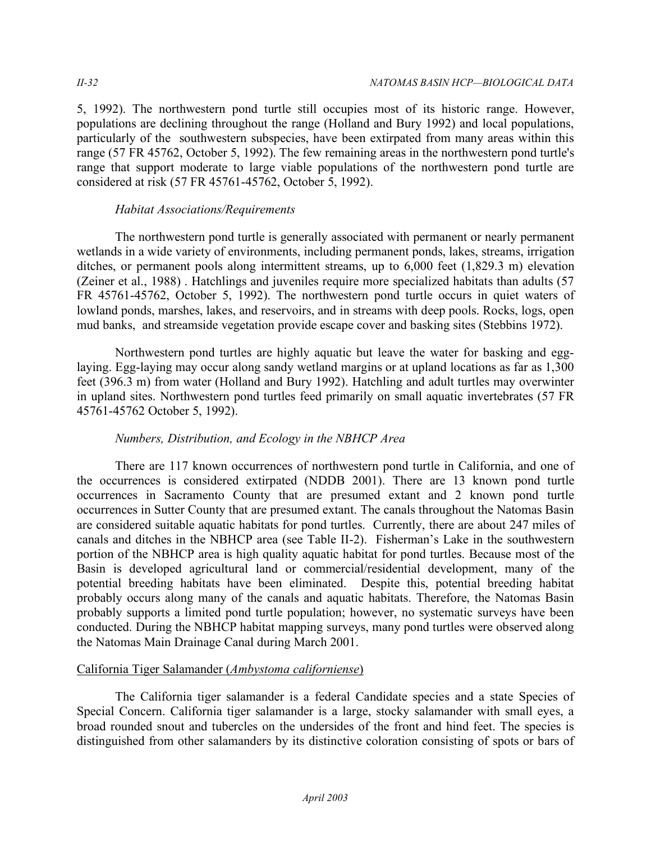5, 1992). The northwestern pond turtle still occupies most of its historic range. However, populations are declining throughout the range (Holland and Bury 1992) and local populations, particularly of the southwestern subspecies, have been extirpated from many areas within this range (57 FR 45762, October 5, 1992). The few remaining areas in the northwestern pond turtle's range that support moderate to large viable populations of the northwestern pond turtle are considered at risk (57 FR 45761-45762, October 5, 1992).

## *Habitat Associations/Requirements*

The northwestern pond turtle is generally associated with permanent or nearly permanent wetlands in a wide variety of environments, including permanent ponds, lakes, streams, irrigation ditches, or permanent pools along intermittent streams, up to 6,000 feet (1,829.3 m) elevation (Zeiner et al., 1988) . Hatchlings and juveniles require more specialized habitats than adults (57 FR 45761-45762, October 5, 1992). The northwestern pond turtle occurs in quiet waters of lowland ponds, marshes, lakes, and reservoirs, and in streams with deep pools. Rocks, logs, open mud banks, and streamside vegetation provide escape cover and basking sites (Stebbins 1972).

Northwestern pond turtles are highly aquatic but leave the water for basking and egglaying. Egg-laying may occur along sandy wetland margins or at upland locations as far as 1,300 feet (396.3 m) from water (Holland and Bury 1992). Hatchling and adult turtles may overwinter in upland sites. Northwestern pond turtles feed primarily on small aquatic invertebrates (57 FR 45761-45762 October 5, 1992).

## *Numbers, Distribution, and Ecology in the NBHCP Area*

There are 117 known occurrences of northwestern pond turtle in California, and one of the occurrences is considered extirpated (NDDB 2001). There are 13 known pond turtle occurrences in Sacramento County that are presumed extant and 2 known pond turtle occurrences in Sutter County that are presumed extant. The canals throughout the Natomas Basin are considered suitable aquatic habitats for pond turtles. Currently, there are about 247 miles of canals and ditches in the NBHCP area (see Table II-2). Fisherman's Lake in the southwestern portion of the NBHCP area is high quality aquatic habitat for pond turtles. Because most of the Basin is developed agricultural land or commercial/residential development, many of the potential breeding habitats have been eliminated. Despite this, potential breeding habitat probably occurs along many of the canals and aquatic habitats. Therefore, the Natomas Basin probably supports a limited pond turtle population; however, no systematic surveys have been conducted. During the NBHCP habitat mapping surveys, many pond turtles were observed along the Natomas Main Drainage Canal during March 2001.

## California Tiger Salamander (*Ambystoma californiense*)

The California tiger salamander is a federal Candidate species and a state Species of Special Concern. California tiger salamander is a large, stocky salamander with small eyes, a broad rounded snout and tubercles on the undersides of the front and hind feet. The species is distinguished from other salamanders by its distinctive coloration consisting of spots or bars of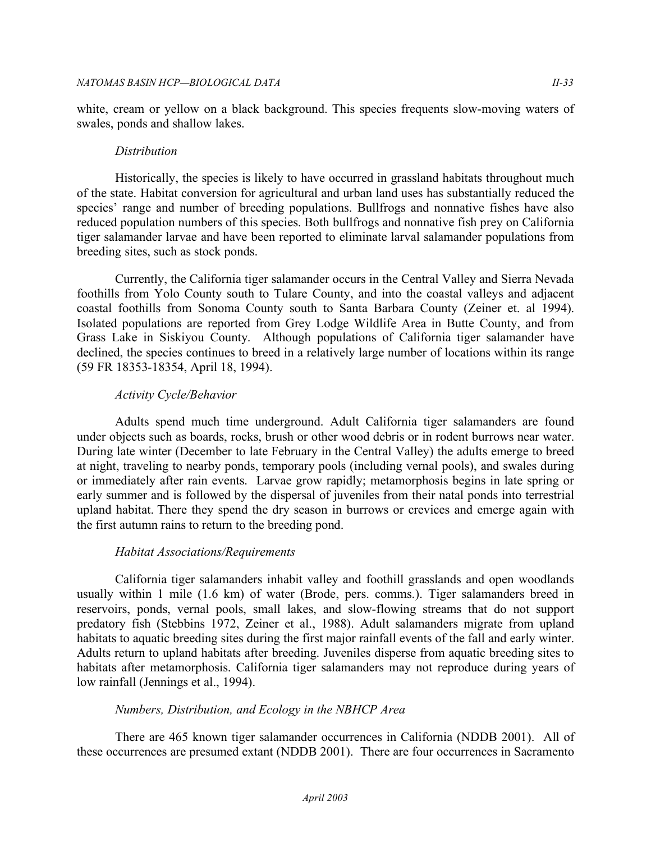white, cream or yellow on a black background. This species frequents slow-moving waters of swales, ponds and shallow lakes.

## *Distribution*

Historically, the species is likely to have occurred in grassland habitats throughout much of the state. Habitat conversion for agricultural and urban land uses has substantially reduced the species' range and number of breeding populations. Bullfrogs and nonnative fishes have also reduced population numbers of this species. Both bullfrogs and nonnative fish prey on California tiger salamander larvae and have been reported to eliminate larval salamander populations from breeding sites, such as stock ponds.

Currently, the California tiger salamander occurs in the Central Valley and Sierra Nevada foothills from Yolo County south to Tulare County, and into the coastal valleys and adjacent coastal foothills from Sonoma County south to Santa Barbara County (Zeiner et. al 1994). Isolated populations are reported from Grey Lodge Wildlife Area in Butte County, and from Grass Lake in Siskiyou County. Although populations of California tiger salamander have declined, the species continues to breed in a relatively large number of locations within its range (59 FR 18353-18354, April 18, 1994).

## *Activity Cycle/Behavior*

Adults spend much time underground. Adult California tiger salamanders are found under objects such as boards, rocks, brush or other wood debris or in rodent burrows near water. During late winter (December to late February in the Central Valley) the adults emerge to breed at night, traveling to nearby ponds, temporary pools (including vernal pools), and swales during or immediately after rain events. Larvae grow rapidly; metamorphosis begins in late spring or early summer and is followed by the dispersal of juveniles from their natal ponds into terrestrial upland habitat. There they spend the dry season in burrows or crevices and emerge again with the first autumn rains to return to the breeding pond.

## *Habitat Associations/Requirements*

California tiger salamanders inhabit valley and foothill grasslands and open woodlands usually within 1 mile (1.6 km) of water (Brode, pers. comms.). Tiger salamanders breed in reservoirs, ponds, vernal pools, small lakes, and slow-flowing streams that do not support predatory fish (Stebbins 1972, Zeiner et al., 1988). Adult salamanders migrate from upland habitats to aquatic breeding sites during the first major rainfall events of the fall and early winter. Adults return to upland habitats after breeding. Juveniles disperse from aquatic breeding sites to habitats after metamorphosis. California tiger salamanders may not reproduce during years of low rainfall (Jennings et al., 1994).

## *Numbers, Distribution, and Ecology in the NBHCP Area*

There are 465 known tiger salamander occurrences in California (NDDB 2001). All of these occurrences are presumed extant (NDDB 2001). There are four occurrences in Sacramento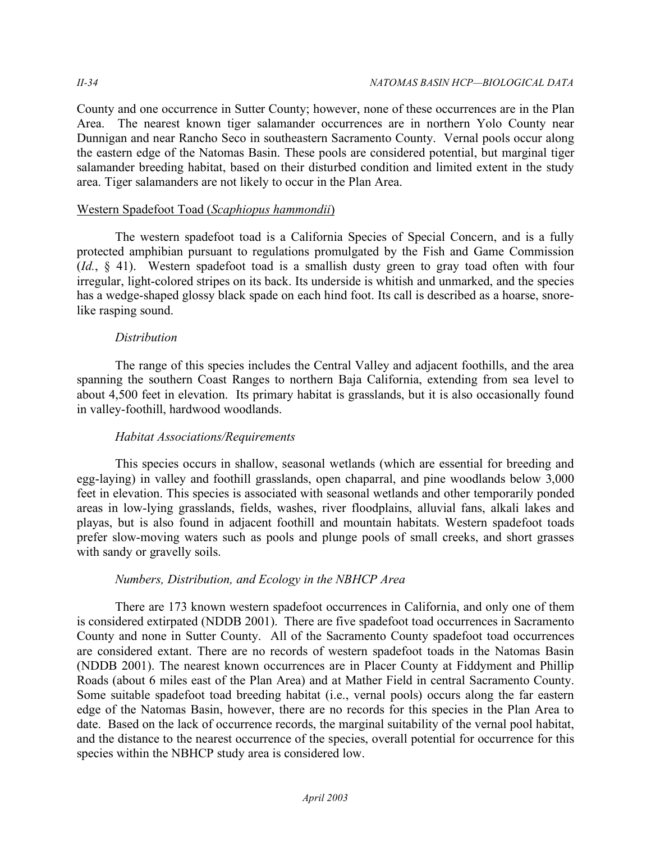County and one occurrence in Sutter County; however, none of these occurrences are in the Plan Area. The nearest known tiger salamander occurrences are in northern Yolo County near Dunnigan and near Rancho Seco in southeastern Sacramento County. Vernal pools occur along the eastern edge of the Natomas Basin. These pools are considered potential, but marginal tiger salamander breeding habitat, based on their disturbed condition and limited extent in the study area. Tiger salamanders are not likely to occur in the Plan Area.

## Western Spadefoot Toad (*Scaphiopus hammondii*)

The western spadefoot toad is a California Species of Special Concern, and is a fully protected amphibian pursuant to regulations promulgated by the Fish and Game Commission (*Id.*, § 41). Western spadefoot toad is a smallish dusty green to gray toad often with four irregular, light-colored stripes on its back. Its underside is whitish and unmarked, and the species has a wedge-shaped glossy black spade on each hind foot. Its call is described as a hoarse, snorelike rasping sound.

## *Distribution*

The range of this species includes the Central Valley and adjacent foothills, and the area spanning the southern Coast Ranges to northern Baja California, extending from sea level to about 4,500 feet in elevation. Its primary habitat is grasslands, but it is also occasionally found in valley-foothill, hardwood woodlands.

## *Habitat Associations/Requirements*

This species occurs in shallow, seasonal wetlands (which are essential for breeding and egg-laying) in valley and foothill grasslands, open chaparral, and pine woodlands below 3,000 feet in elevation. This species is associated with seasonal wetlands and other temporarily ponded areas in low-lying grasslands, fields, washes, river floodplains, alluvial fans, alkali lakes and playas, but is also found in adjacent foothill and mountain habitats. Western spadefoot toads prefer slow-moving waters such as pools and plunge pools of small creeks, and short grasses with sandy or gravelly soils.

## *Numbers, Distribution, and Ecology in the NBHCP Area*

There are 173 known western spadefoot occurrences in California, and only one of them is considered extirpated (NDDB 2001). There are five spadefoot toad occurrences in Sacramento County and none in Sutter County. All of the Sacramento County spadefoot toad occurrences are considered extant. There are no records of western spadefoot toads in the Natomas Basin (NDDB 2001). The nearest known occurrences are in Placer County at Fiddyment and Phillip Roads (about 6 miles east of the Plan Area) and at Mather Field in central Sacramento County. Some suitable spadefoot toad breeding habitat (i.e., vernal pools) occurs along the far eastern edge of the Natomas Basin, however, there are no records for this species in the Plan Area to date. Based on the lack of occurrence records, the marginal suitability of the vernal pool habitat, and the distance to the nearest occurrence of the species, overall potential for occurrence for this species within the NBHCP study area is considered low.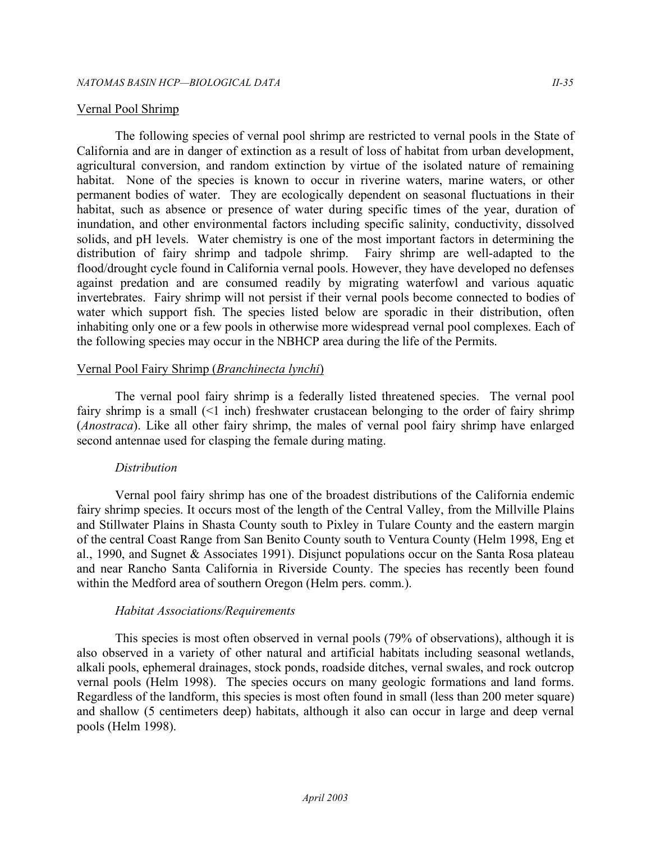#### Vernal Pool Shrimp

The following species of vernal pool shrimp are restricted to vernal pools in the State of California and are in danger of extinction as a result of loss of habitat from urban development, agricultural conversion, and random extinction by virtue of the isolated nature of remaining habitat. None of the species is known to occur in riverine waters, marine waters, or other permanent bodies of water. They are ecologically dependent on seasonal fluctuations in their habitat, such as absence or presence of water during specific times of the year, duration of inundation, and other environmental factors including specific salinity, conductivity, dissolved solids, and pH levels. Water chemistry is one of the most important factors in determining the distribution of fairy shrimp and tadpole shrimp. Fairy shrimp are well-adapted to the flood/drought cycle found in California vernal pools. However, they have developed no defenses against predation and are consumed readily by migrating waterfowl and various aquatic invertebrates. Fairy shrimp will not persist if their vernal pools become connected to bodies of water which support fish. The species listed below are sporadic in their distribution, often inhabiting only one or a few pools in otherwise more widespread vernal pool complexes. Each of the following species may occur in the NBHCP area during the life of the Permits.

#### Vernal Pool Fairy Shrimp (*Branchinecta lynchi*)

The vernal pool fairy shrimp is a federally listed threatened species. The vernal pool fairy shrimp is a small  $(1$  inch) freshwater crustacean belonging to the order of fairy shrimp (*Anostraca*). Like all other fairy shrimp, the males of vernal pool fairy shrimp have enlarged second antennae used for clasping the female during mating.

#### *Distribution*

Vernal pool fairy shrimp has one of the broadest distributions of the California endemic fairy shrimp species. It occurs most of the length of the Central Valley, from the Millville Plains and Stillwater Plains in Shasta County south to Pixley in Tulare County and the eastern margin of the central Coast Range from San Benito County south to Ventura County (Helm 1998, Eng et al., 1990, and Sugnet & Associates 1991). Disjunct populations occur on the Santa Rosa plateau and near Rancho Santa California in Riverside County. The species has recently been found within the Medford area of southern Oregon (Helm pers. comm.).

#### *Habitat Associations/Requirements*

This species is most often observed in vernal pools (79% of observations), although it is also observed in a variety of other natural and artificial habitats including seasonal wetlands, alkali pools, ephemeral drainages, stock ponds, roadside ditches, vernal swales, and rock outcrop vernal pools (Helm 1998). The species occurs on many geologic formations and land forms. Regardless of the landform, this species is most often found in small (less than 200 meter square) and shallow (5 centimeters deep) habitats, although it also can occur in large and deep vernal pools (Helm 1998).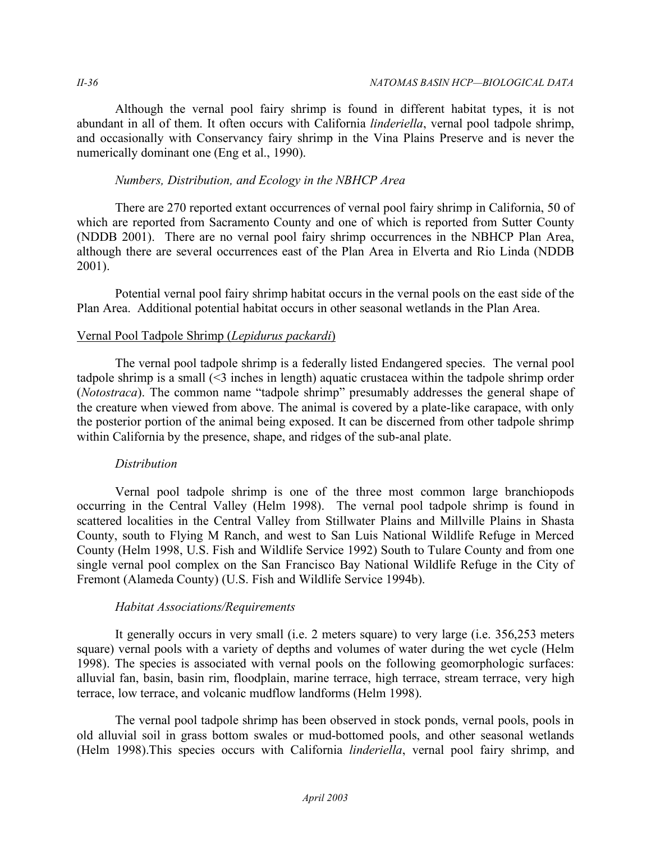Although the vernal pool fairy shrimp is found in different habitat types, it is not abundant in all of them. It often occurs with California *linderiella*, vernal pool tadpole shrimp, and occasionally with Conservancy fairy shrimp in the Vina Plains Preserve and is never the numerically dominant one (Eng et al., 1990).

### *Numbers, Distribution, and Ecology in the NBHCP Area*

There are 270 reported extant occurrences of vernal pool fairy shrimp in California, 50 of which are reported from Sacramento County and one of which is reported from Sutter County (NDDB 2001). There are no vernal pool fairy shrimp occurrences in the NBHCP Plan Area, although there are several occurrences east of the Plan Area in Elverta and Rio Linda (NDDB 2001).

Potential vernal pool fairy shrimp habitat occurs in the vernal pools on the east side of the Plan Area. Additional potential habitat occurs in other seasonal wetlands in the Plan Area.

## Vernal Pool Tadpole Shrimp (*Lepidurus packardi*)

The vernal pool tadpole shrimp is a federally listed Endangered species. The vernal pool tadpole shrimp is a small (<3 inches in length) aquatic crustacea within the tadpole shrimp order (*Notostraca*). The common name "tadpole shrimp" presumably addresses the general shape of the creature when viewed from above. The animal is covered by a plate-like carapace, with only the posterior portion of the animal being exposed. It can be discerned from other tadpole shrimp within California by the presence, shape, and ridges of the sub-anal plate.

## *Distribution*

Vernal pool tadpole shrimp is one of the three most common large branchiopods occurring in the Central Valley (Helm 1998). The vernal pool tadpole shrimp is found in scattered localities in the Central Valley from Stillwater Plains and Millville Plains in Shasta County, south to Flying M Ranch, and west to San Luis National Wildlife Refuge in Merced County (Helm 1998, U.S. Fish and Wildlife Service 1992) South to Tulare County and from one single vernal pool complex on the San Francisco Bay National Wildlife Refuge in the City of Fremont (Alameda County) (U.S. Fish and Wildlife Service 1994b).

#### *Habitat Associations/Requirements*

It generally occurs in very small (i.e. 2 meters square) to very large (i.e. 356,253 meters square) vernal pools with a variety of depths and volumes of water during the wet cycle (Helm 1998). The species is associated with vernal pools on the following geomorphologic surfaces: alluvial fan, basin, basin rim, floodplain, marine terrace, high terrace, stream terrace, very high terrace, low terrace, and volcanic mudflow landforms (Helm 1998).

The vernal pool tadpole shrimp has been observed in stock ponds, vernal pools, pools in old alluvial soil in grass bottom swales or mud-bottomed pools, and other seasonal wetlands (Helm 1998).This species occurs with California *linderiella*, vernal pool fairy shrimp, and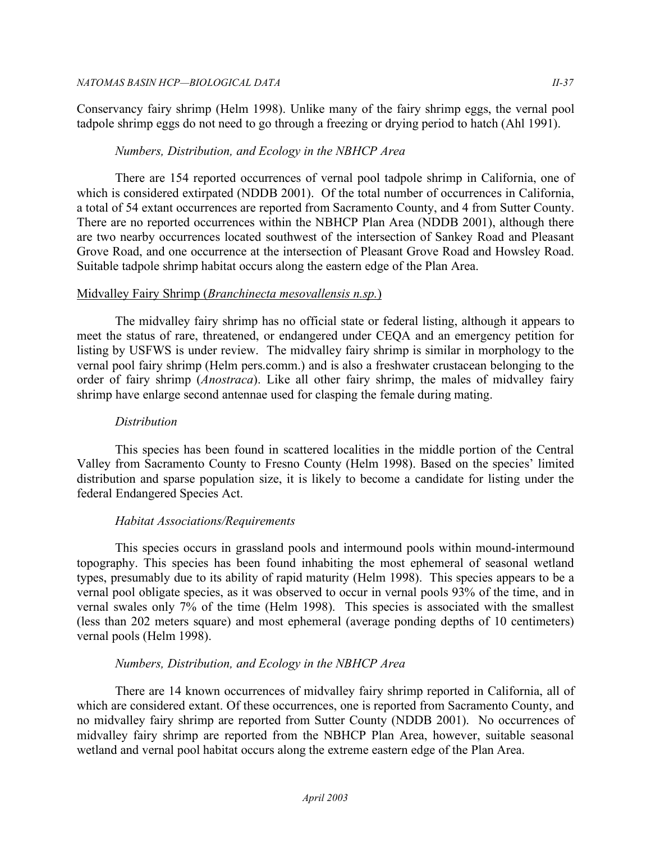Conservancy fairy shrimp (Helm 1998). Unlike many of the fairy shrimp eggs, the vernal pool tadpole shrimp eggs do not need to go through a freezing or drying period to hatch (Ahl 1991).

## *Numbers, Distribution, and Ecology in the NBHCP Area*

There are 154 reported occurrences of vernal pool tadpole shrimp in California, one of which is considered extirpated (NDDB 2001). Of the total number of occurrences in California, a total of 54 extant occurrences are reported from Sacramento County, and 4 from Sutter County. There are no reported occurrences within the NBHCP Plan Area (NDDB 2001), although there are two nearby occurrences located southwest of the intersection of Sankey Road and Pleasant Grove Road, and one occurrence at the intersection of Pleasant Grove Road and Howsley Road. Suitable tadpole shrimp habitat occurs along the eastern edge of the Plan Area.

## Midvalley Fairy Shrimp (*Branchinecta mesovallensis n.sp.*)

The midvalley fairy shrimp has no official state or federal listing, although it appears to meet the status of rare, threatened, or endangered under CEQA and an emergency petition for listing by USFWS is under review. The midvalley fairy shrimp is similar in morphology to the vernal pool fairy shrimp (Helm pers.comm.) and is also a freshwater crustacean belonging to the order of fairy shrimp (*Anostraca*). Like all other fairy shrimp, the males of midvalley fairy shrimp have enlarge second antennae used for clasping the female during mating.

### *Distribution*

This species has been found in scattered localities in the middle portion of the Central Valley from Sacramento County to Fresno County (Helm 1998). Based on the species' limited distribution and sparse population size, it is likely to become a candidate for listing under the federal Endangered Species Act.

## *Habitat Associations/Requirements*

This species occurs in grassland pools and intermound pools within mound-intermound topography. This species has been found inhabiting the most ephemeral of seasonal wetland types, presumably due to its ability of rapid maturity (Helm 1998). This species appears to be a vernal pool obligate species, as it was observed to occur in vernal pools 93% of the time, and in vernal swales only 7% of the time (Helm 1998). This species is associated with the smallest (less than 202 meters square) and most ephemeral (average ponding depths of 10 centimeters) vernal pools (Helm 1998).

## *Numbers, Distribution, and Ecology in the NBHCP Area*

There are 14 known occurrences of midvalley fairy shrimp reported in California, all of which are considered extant. Of these occurrences, one is reported from Sacramento County, and no midvalley fairy shrimp are reported from Sutter County (NDDB 2001). No occurrences of midvalley fairy shrimp are reported from the NBHCP Plan Area, however, suitable seasonal wetland and vernal pool habitat occurs along the extreme eastern edge of the Plan Area.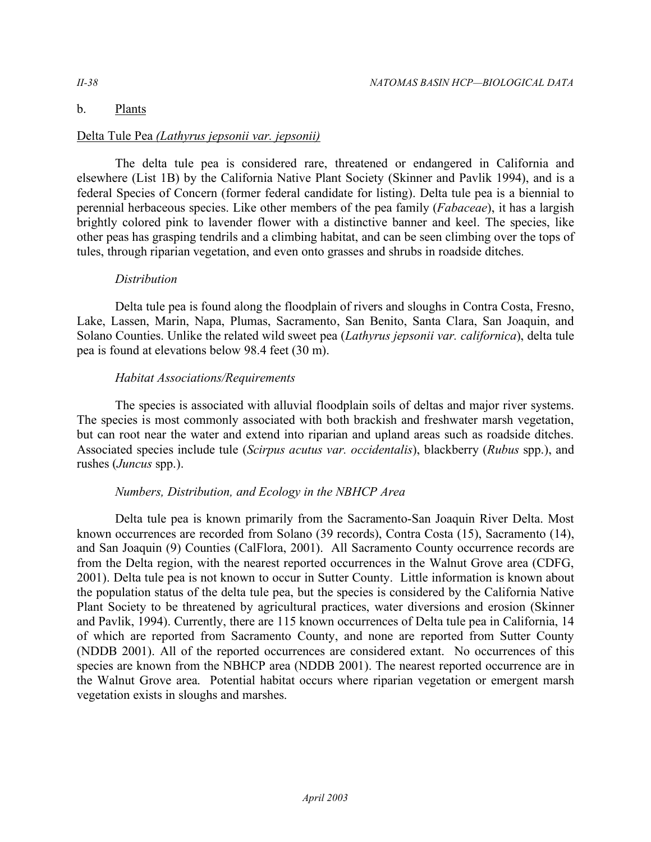## b. Plants

## Delta Tule Pea *(Lathyrus jepsonii var. jepsonii)*

The delta tule pea is considered rare, threatened or endangered in California and elsewhere (List 1B) by the California Native Plant Society (Skinner and Pavlik 1994), and is a federal Species of Concern (former federal candidate for listing). Delta tule pea is a biennial to perennial herbaceous species. Like other members of the pea family (*Fabaceae*), it has a largish brightly colored pink to lavender flower with a distinctive banner and keel. The species, like other peas has grasping tendrils and a climbing habitat, and can be seen climbing over the tops of tules, through riparian vegetation, and even onto grasses and shrubs in roadside ditches.

## *Distribution*

Delta tule pea is found along the floodplain of rivers and sloughs in Contra Costa, Fresno, Lake, Lassen, Marin, Napa, Plumas, Sacramento, San Benito, Santa Clara, San Joaquin, and Solano Counties. Unlike the related wild sweet pea (*Lathyrus jepsonii var. californica*), delta tule pea is found at elevations below 98.4 feet (30 m).

## *Habitat Associations/Requirements*

The species is associated with alluvial floodplain soils of deltas and major river systems. The species is most commonly associated with both brackish and freshwater marsh vegetation, but can root near the water and extend into riparian and upland areas such as roadside ditches. Associated species include tule (*Scirpus acutus var. occidentalis*), blackberry (*Rubus* spp.), and rushes (*Juncus* spp.).

## *Numbers, Distribution, and Ecology in the NBHCP Area*

Delta tule pea is known primarily from the Sacramento-San Joaquin River Delta. Most known occurrences are recorded from Solano (39 records), Contra Costa (15), Sacramento (14), and San Joaquin (9) Counties (CalFlora, 2001). All Sacramento County occurrence records are from the Delta region, with the nearest reported occurrences in the Walnut Grove area (CDFG, 2001). Delta tule pea is not known to occur in Sutter County. Little information is known about the population status of the delta tule pea, but the species is considered by the California Native Plant Society to be threatened by agricultural practices, water diversions and erosion (Skinner and Pavlik, 1994). Currently, there are 115 known occurrences of Delta tule pea in California, 14 of which are reported from Sacramento County, and none are reported from Sutter County (NDDB 2001). All of the reported occurrences are considered extant. No occurrences of this species are known from the NBHCP area (NDDB 2001). The nearest reported occurrence are in the Walnut Grove area. Potential habitat occurs where riparian vegetation or emergent marsh vegetation exists in sloughs and marshes.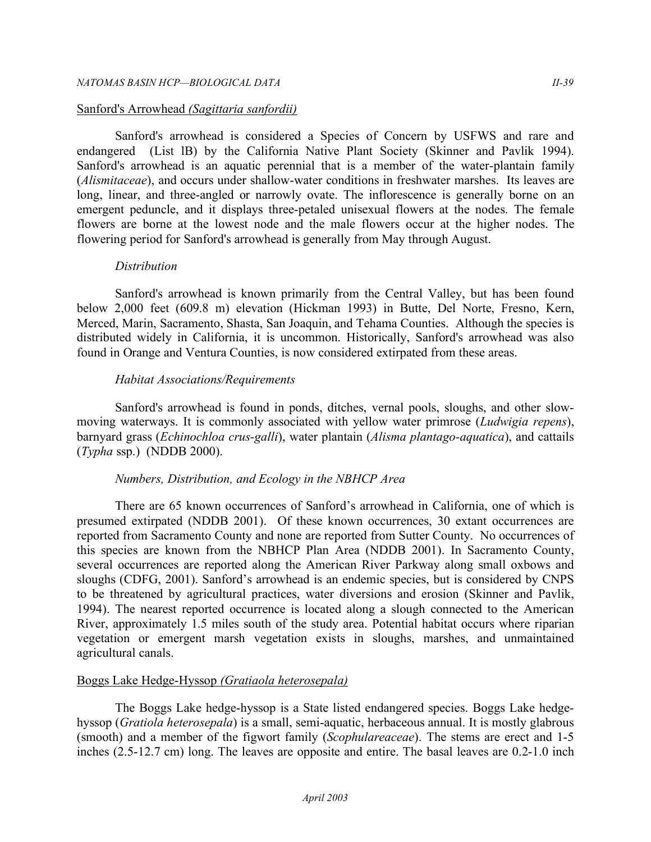#### Sanford's Arrowhead *(Sagittaria sanfordii)*

Sanford's arrowhead is considered a Species of Concern by USFWS and rare and endangered (List lB) by the California Native Plant Society (Skinner and Pavlik 1994). Sanford's arrowhead is an aquatic perennial that is a member of the water-plantain family (*Alismitaceae*), and occurs under shallow-water conditions in freshwater marshes. Its leaves are long, linear, and three-angled or narrowly ovate. The inflorescence is generally borne on an emergent peduncle, and it displays three-petaled unisexual flowers at the nodes. The female flowers are borne at the lowest node and the male flowers occur at the higher nodes. The flowering period for Sanford's arrowhead is generally from May through August.

#### *Distribution*

Sanford's arrowhead is known primarily from the Central Valley, but has been found below 2,000 feet (609.8 m) elevation (Hickman 1993) in Butte, Del Norte, Fresno, Kern, Merced, Marin, Sacramento, Shasta, San Joaquin, and Tehama Counties. Although the species is distributed widely in California, it is uncommon. Historically, Sanford's arrowhead was also found in Orange and Ventura Counties, is now considered extirpated from these areas.

#### *Habitat Associations/Requirements*

Sanford's arrowhead is found in ponds, ditches, vernal pools, sloughs, and other slowmoving waterways. It is commonly associated with yellow water primrose (*Ludwigia repens*), barnyard grass (*Echinochloa crus-galli*), water plantain (*Alisma plantago-aquatica*), and cattails (*Typha* ssp.) (NDDB 2000).

#### *Numbers, Distribution, and Ecology in the NBHCP Area*

There are 65 known occurrences of Sanford's arrowhead in California, one of which is presumed extirpated (NDDB 2001). Of these known occurrences, 30 extant occurrences are reported from Sacramento County and none are reported from Sutter County. No occurrences of this species are known from the NBHCP Plan Area (NDDB 2001). In Sacramento County, several occurrences are reported along the American River Parkway along small oxbows and sloughs (CDFG, 2001). Sanford's arrowhead is an endemic species, but is considered by CNPS to be threatened by agricultural practices, water diversions and erosion (Skinner and Pavlik, 1994). The nearest reported occurrence is located along a slough connected to the American River, approximately 1.5 miles south of the study area. Potential habitat occurs where riparian vegetation or emergent marsh vegetation exists in sloughs, marshes, and unmaintained agricultural canals.

#### Boggs Lake Hedge-Hyssop *(Gratiaola heterosepala)*

The Boggs Lake hedge-hyssop is a State listed endangered species. Boggs Lake hedgehyssop (*Gratiola heterosepala*) is a small, semi-aquatic, herbaceous annual. It is mostly glabrous (smooth) and a member of the figwort family (*Scophulareaceae*). The stems are erect and 1-5 inches (2.5-12.7 cm) long. The leaves are opposite and entire. The basal leaves are 0.2-1.0 inch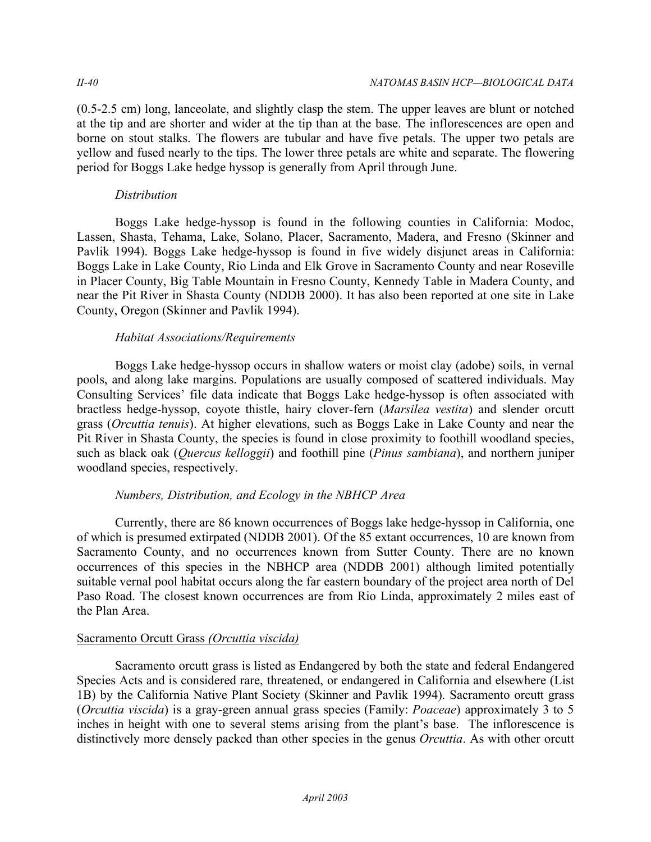(0.5-2.5 cm) long, lanceolate, and slightly clasp the stem. The upper leaves are blunt or notched at the tip and are shorter and wider at the tip than at the base. The inflorescences are open and borne on stout stalks. The flowers are tubular and have five petals. The upper two petals are yellow and fused nearly to the tips. The lower three petals are white and separate. The flowering period for Boggs Lake hedge hyssop is generally from April through June.

## *Distribution*

Boggs Lake hedge-hyssop is found in the following counties in California: Modoc, Lassen, Shasta, Tehama, Lake, Solano, Placer, Sacramento, Madera, and Fresno (Skinner and Pavlik 1994). Boggs Lake hedge-hyssop is found in five widely disjunct areas in California: Boggs Lake in Lake County, Rio Linda and Elk Grove in Sacramento County and near Roseville in Placer County, Big Table Mountain in Fresno County, Kennedy Table in Madera County, and near the Pit River in Shasta County (NDDB 2000). It has also been reported at one site in Lake County, Oregon (Skinner and Pavlik 1994).

## *Habitat Associations/Requirements*

Boggs Lake hedge-hyssop occurs in shallow waters or moist clay (adobe) soils, in vernal pools, and along lake margins. Populations are usually composed of scattered individuals. May Consulting Services' file data indicate that Boggs Lake hedge-hyssop is often associated with bractless hedge-hyssop, coyote thistle, hairy clover-fern (*Marsilea vestita*) and slender orcutt grass (*Orcuttia tenuis*). At higher elevations, such as Boggs Lake in Lake County and near the Pit River in Shasta County, the species is found in close proximity to foothill woodland species, such as black oak (*Quercus kelloggii*) and foothill pine (*Pinus sambiana*), and northern juniper woodland species, respectively.

## *Numbers, Distribution, and Ecology in the NBHCP Area*

Currently, there are 86 known occurrences of Boggs lake hedge-hyssop in California, one of which is presumed extirpated (NDDB 2001). Of the 85 extant occurrences, 10 are known from Sacramento County, and no occurrences known from Sutter County. There are no known occurrences of this species in the NBHCP area (NDDB 2001) although limited potentially suitable vernal pool habitat occurs along the far eastern boundary of the project area north of Del Paso Road. The closest known occurrences are from Rio Linda, approximately 2 miles east of the Plan Area.

## Sacramento Orcutt Grass *(Orcuttia viscida)*

Sacramento orcutt grass is listed as Endangered by both the state and federal Endangered Species Acts and is considered rare, threatened, or endangered in California and elsewhere (List 1B) by the California Native Plant Society (Skinner and Pavlik 1994). Sacramento orcutt grass (*Orcuttia viscida*) is a gray-green annual grass species (Family: *Poaceae*) approximately 3 to 5 inches in height with one to several stems arising from the plant's base. The inflorescence is distinctively more densely packed than other species in the genus *Orcuttia*. As with other orcutt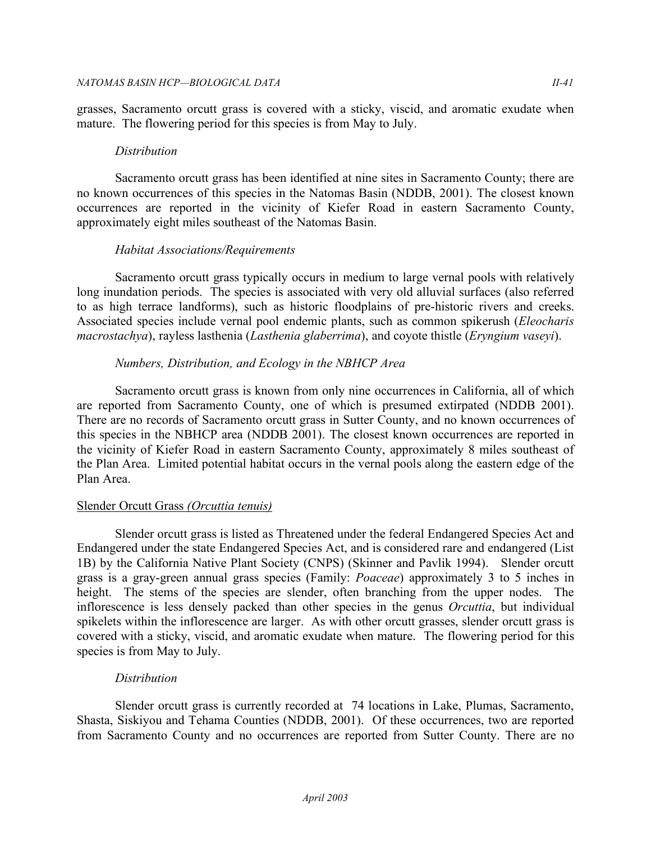grasses, Sacramento orcutt grass is covered with a sticky, viscid, and aromatic exudate when mature. The flowering period for this species is from May to July.

## *Distribution*

Sacramento orcutt grass has been identified at nine sites in Sacramento County; there are no known occurrences of this species in the Natomas Basin (NDDB, 2001). The closest known occurrences are reported in the vicinity of Kiefer Road in eastern Sacramento County, approximately eight miles southeast of the Natomas Basin.

## *Habitat Associations/Requirements*

Sacramento orcutt grass typically occurs in medium to large vernal pools with relatively long inundation periods. The species is associated with very old alluvial surfaces (also referred to as high terrace landforms), such as historic floodplains of pre-historic rivers and creeks. Associated species include vernal pool endemic plants, such as common spikerush (*Eleocharis macrostachya*), rayless lasthenia (*Lasthenia glaberrima*), and coyote thistle (*Eryngium vaseyi*).

## *Numbers, Distribution, and Ecology in the NBHCP Area*

Sacramento orcutt grass is known from only nine occurrences in California, all of which are reported from Sacramento County, one of which is presumed extirpated (NDDB 2001). There are no records of Sacramento orcutt grass in Sutter County, and no known occurrences of this species in the NBHCP area (NDDB 2001). The closest known occurrences are reported in the vicinity of Kiefer Road in eastern Sacramento County, approximately 8 miles southeast of the Plan Area. Limited potential habitat occurs in the vernal pools along the eastern edge of the Plan Area.

## Slender Orcutt Grass *(Orcuttia tenuis)*

Slender orcutt grass is listed as Threatened under the federal Endangered Species Act and Endangered under the state Endangered Species Act, and is considered rare and endangered (List 1B) by the California Native Plant Society (CNPS) (Skinner and Pavlik 1994). Slender orcutt grass is a gray-green annual grass species (Family: *Poaceae*) approximately 3 to 5 inches in height. The stems of the species are slender, often branching from the upper nodes. The inflorescence is less densely packed than other species in the genus *Orcuttia*, but individual spikelets within the inflorescence are larger. As with other orcutt grasses, slender orcutt grass is covered with a sticky, viscid, and aromatic exudate when mature. The flowering period for this species is from May to July.

## *Distribution*

Slender orcutt grass is currently recorded at 74 locations in Lake, Plumas, Sacramento, Shasta, Siskiyou and Tehama Counties (NDDB, 2001). Of these occurrences, two are reported from Sacramento County and no occurrences are reported from Sutter County. There are no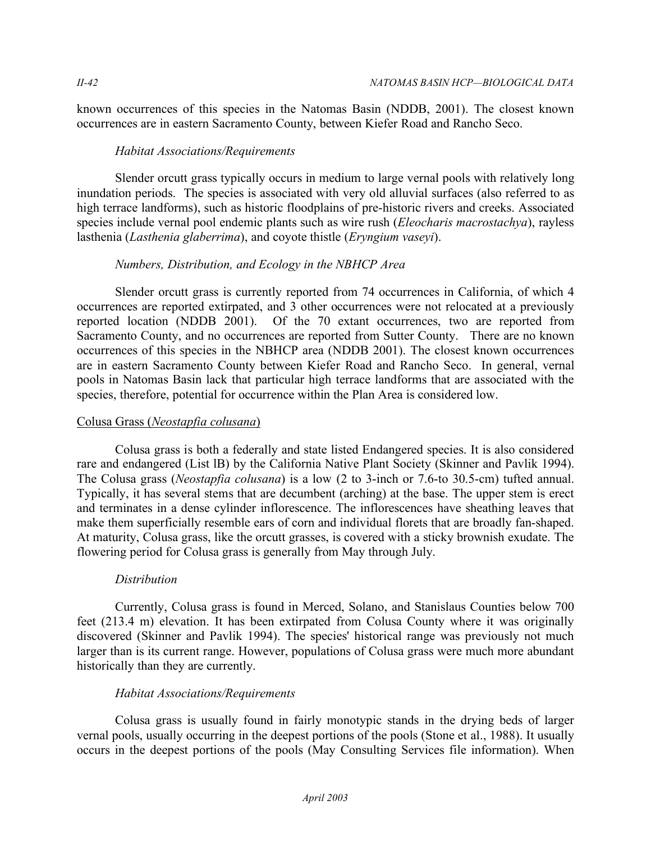known occurrences of this species in the Natomas Basin (NDDB, 2001). The closest known occurrences are in eastern Sacramento County, between Kiefer Road and Rancho Seco.

## *Habitat Associations/Requirements*

Slender orcutt grass typically occurs in medium to large vernal pools with relatively long inundation periods. The species is associated with very old alluvial surfaces (also referred to as high terrace landforms), such as historic floodplains of pre-historic rivers and creeks. Associated species include vernal pool endemic plants such as wire rush (*Eleocharis macrostachya*), rayless lasthenia (*Lasthenia glaberrima*), and coyote thistle (*Eryngium vaseyi*).

## *Numbers, Distribution, and Ecology in the NBHCP Area*

Slender orcutt grass is currently reported from 74 occurrences in California, of which 4 occurrences are reported extirpated, and 3 other occurrences were not relocated at a previously reported location (NDDB 2001). Of the 70 extant occurrences, two are reported from Sacramento County, and no occurrences are reported from Sutter County. There are no known occurrences of this species in the NBHCP area (NDDB 2001). The closest known occurrences are in eastern Sacramento County between Kiefer Road and Rancho Seco. In general, vernal pools in Natomas Basin lack that particular high terrace landforms that are associated with the species, therefore, potential for occurrence within the Plan Area is considered low.

## Colusa Grass (*Neostapfia colusana*)

Colusa grass is both a federally and state listed Endangered species. It is also considered rare and endangered (List lB) by the California Native Plant Society (Skinner and Pavlik 1994). The Colusa grass (*Neostapfia colusana*) is a low (2 to 3-inch or 7.6-to 30.5-cm) tufted annual. Typically, it has several stems that are decumbent (arching) at the base. The upper stem is erect and terminates in a dense cylinder inflorescence. The inflorescences have sheathing leaves that make them superficially resemble ears of corn and individual florets that are broadly fan-shaped. At maturity, Colusa grass, like the orcutt grasses, is covered with a sticky brownish exudate. The flowering period for Colusa grass is generally from May through July.

## *Distribution*

Currently, Colusa grass is found in Merced, Solano, and Stanislaus Counties below 700 feet (213.4 m) elevation. It has been extirpated from Colusa County where it was originally discovered (Skinner and Pavlik 1994). The species' historical range was previously not much larger than is its current range. However, populations of Colusa grass were much more abundant historically than they are currently.

## *Habitat Associations/Requirements*

Colusa grass is usually found in fairly monotypic stands in the drying beds of larger vernal pools, usually occurring in the deepest portions of the pools (Stone et al., 1988). It usually occurs in the deepest portions of the pools (May Consulting Services file information). When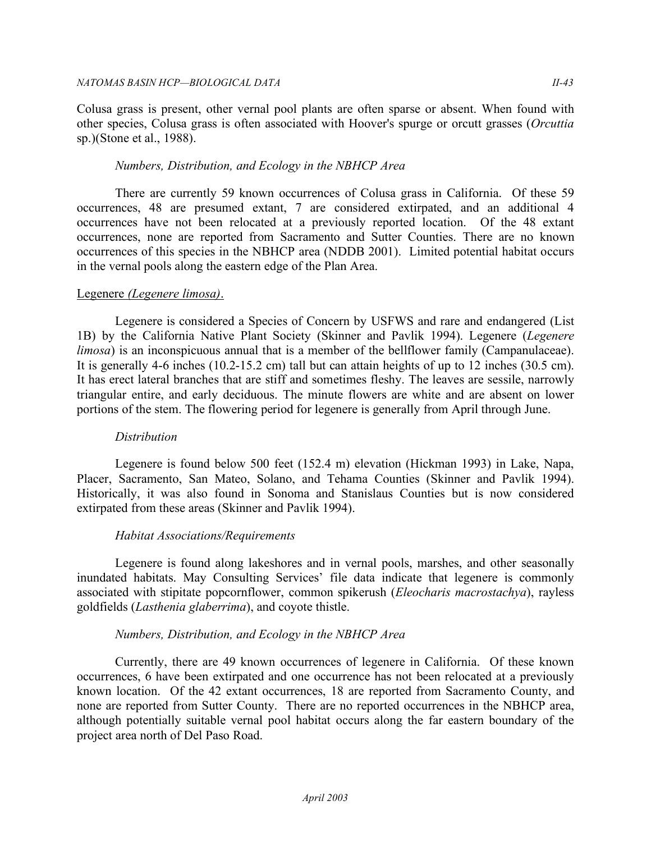Colusa grass is present, other vernal pool plants are often sparse or absent. When found with other species, Colusa grass is often associated with Hoover's spurge or orcutt grasses (*Orcuttia*  sp.)(Stone et al., 1988).

### *Numbers, Distribution, and Ecology in the NBHCP Area*

There are currently 59 known occurrences of Colusa grass in California. Of these 59 occurrences, 48 are presumed extant, 7 are considered extirpated, and an additional 4 occurrences have not been relocated at a previously reported location. Of the 48 extant occurrences, none are reported from Sacramento and Sutter Counties. There are no known occurrences of this species in the NBHCP area (NDDB 2001). Limited potential habitat occurs in the vernal pools along the eastern edge of the Plan Area.

### Legenere *(Legenere limosa)*.

Legenere is considered a Species of Concern by USFWS and rare and endangered (List 1B) by the California Native Plant Society (Skinner and Pavlik 1994). Legenere (*Legenere limosa*) is an inconspicuous annual that is a member of the bellflower family (Campanulaceae). It is generally 4-6 inches (10.2-15.2 cm) tall but can attain heights of up to 12 inches (30.5 cm). It has erect lateral branches that are stiff and sometimes fleshy. The leaves are sessile, narrowly triangular entire, and early deciduous. The minute flowers are white and are absent on lower portions of the stem. The flowering period for legenere is generally from April through June.

#### *Distribution*

Legenere is found below 500 feet (152.4 m) elevation (Hickman 1993) in Lake, Napa, Placer, Sacramento, San Mateo, Solano, and Tehama Counties (Skinner and Pavlik 1994). Historically, it was also found in Sonoma and Stanislaus Counties but is now considered extirpated from these areas (Skinner and Pavlik 1994).

## *Habitat Associations/Requirements*

Legenere is found along lakeshores and in vernal pools, marshes, and other seasonally inundated habitats. May Consulting Services' file data indicate that legenere is commonly associated with stipitate popcornflower, common spikerush (*Eleocharis macrostachya*), rayless goldfields (*Lasthenia glaberrima*), and coyote thistle.

## *Numbers, Distribution, and Ecology in the NBHCP Area*

Currently, there are 49 known occurrences of legenere in California. Of these known occurrences, 6 have been extirpated and one occurrence has not been relocated at a previously known location. Of the 42 extant occurrences, 18 are reported from Sacramento County, and none are reported from Sutter County. There are no reported occurrences in the NBHCP area, although potentially suitable vernal pool habitat occurs along the far eastern boundary of the project area north of Del Paso Road.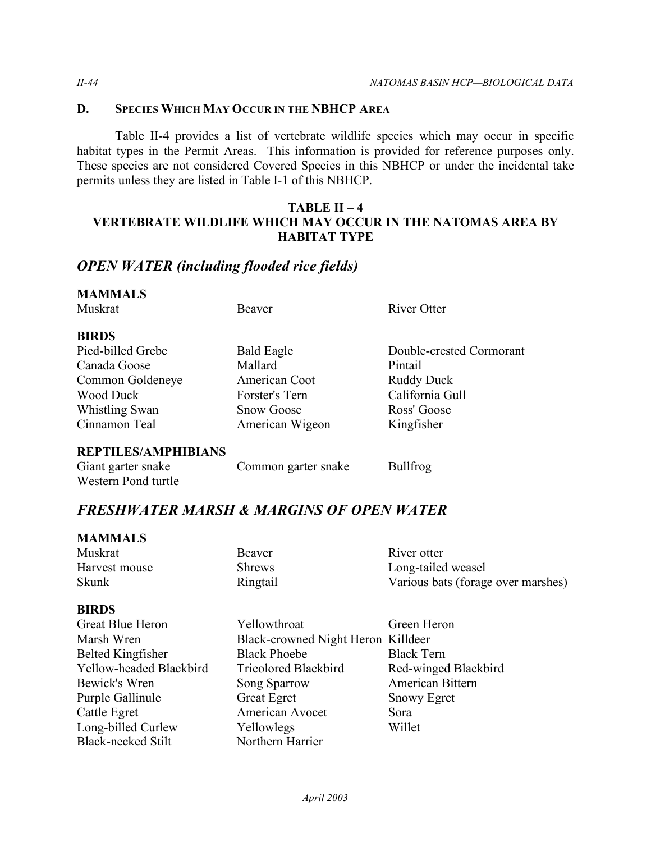## **D. SPECIES WHICH MAY OCCUR IN THE NBHCP AREA**

Table II-4 provides a list of vertebrate wildlife species which may occur in specific habitat types in the Permit Areas. This information is provided for reference purposes only. These species are not considered Covered Species in this NBHCP or under the incidental take permits unless they are listed in Table I-1 of this NBHCP.

## **TABLE II – 4 VERTEBRATE WILDLIFE WHICH MAY OCCUR IN THE NATOMAS AREA BY HABITAT TYPE**

## *OPEN WATER (including flooded rice fields)*

# **MAMMALS**

| Muskrat           | Beaver            | River Otter              |
|-------------------|-------------------|--------------------------|
| <b>BIRDS</b>      |                   |                          |
| Pied-billed Grebe | <b>Bald Eagle</b> | Double-crested Cormorant |
| Canada Goose      | Mallard           | Pintail                  |
| Common Goldeneye  | American Coot     | <b>Ruddy Duck</b>        |
| Wood Duck         | Forster's Tern    | California Gull          |
| Whistling Swan    | <b>Snow Goose</b> | Ross' Goose              |
| Cinnamon Teal     | American Wigeon   | Kingfisher               |
|                   |                   |                          |

## **REPTILES/AMPHIBIANS**

| Giant garter snake  | Common garter snake | <b>Bullfrog</b> |
|---------------------|---------------------|-----------------|
| Western Pond turtle |                     |                 |

## *FRESHWATER MARSH & MARGINS OF OPEN WATER*

| <b>MAMMALS</b> |               |                                    |
|----------------|---------------|------------------------------------|
| Muskrat        | Beaver        | River otter                        |
| Harvest mouse  | <b>Shrews</b> | Long-tailed weasel                 |
| <b>Skunk</b>   | Ringtail      | Various bats (forage over marshes) |

## **BIRDS**

| Great Blue Heron<br>Marsh Wren | Yellowthroat<br>Black-crowned Night Heron Killdeer | Green Heron          |
|--------------------------------|----------------------------------------------------|----------------------|
| Belted Kingfisher              | <b>Black Phoebe</b>                                | <b>Black Tern</b>    |
| Yellow-headed Blackbird        | <b>Tricolored Blackbird</b>                        | Red-winged Blackbird |
| Bewick's Wren                  | Song Sparrow                                       | American Bittern     |
| Purple Gallinule               | <b>Great Egret</b>                                 | <b>Snowy Egret</b>   |
| Cattle Egret                   | American Avocet                                    | Sora                 |
| Long-billed Curlew             | Yellowlegs                                         | Willet               |
| <b>Black-necked Stilt</b>      | Northern Harrier                                   |                      |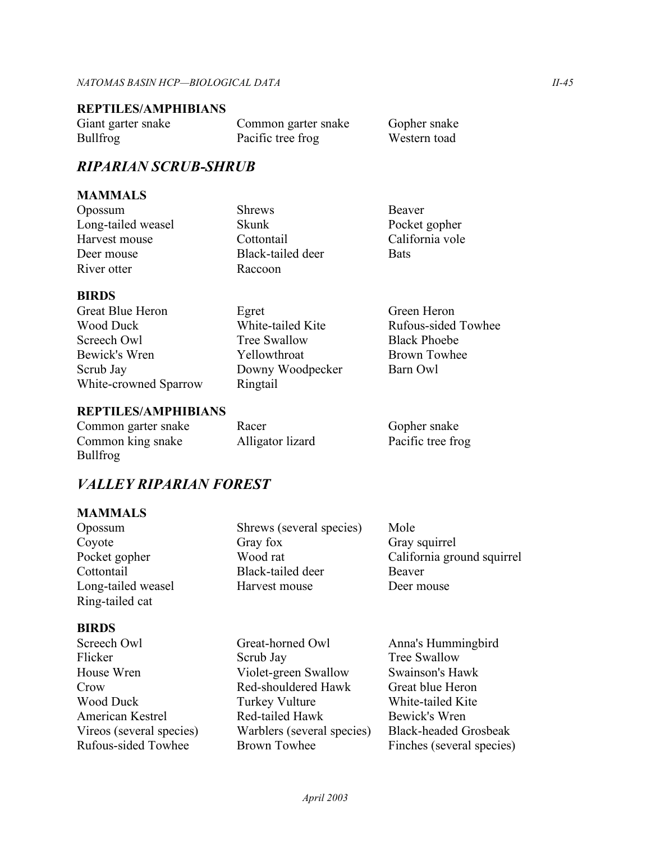### **REPTILES/AMPHIBIANS**

| Giant garter snake | Common garter snake | Gopher snake |
|--------------------|---------------------|--------------|
| <b>Bullfrog</b>    | Pacific tree frog   | Western toad |

## *RIPARIAN SCRUB-SHRUB*

## **MAMMALS**

Long-tailed weasel Skunk Pocket gopher Harvest mouse Cottontail California vole Deer mouse Black-tailed deer Bats River otter Raccoon

Opossum Shrews Beaver

## **BIRDS**

Great Blue Heron Egret Green Heron Wood Duck **White-tailed Kite** Rufous-sided Towhee Screech Owl Tree Swallow Black Phoebe Bewick's Wren  $Y$ ellowthroat Brown Towhee Scrub Jay Downy Woodpecker Barn Owl White-crowned Sparrow Ringtail

## **REPTILES/AMPHIBIANS**

| Common garter snake | Racer            | Gopher snake      |
|---------------------|------------------|-------------------|
| Common king snake   | Alligator lizard | Pacific tree frog |
| $E_{\rm D}$ 11 $c$  |                  |                   |

## *VALLEY RIPARIAN FOREST*

## **MAMMALS**

Bullfrog

Ring-tailed cat

## **BIRDS**

- Vireos (several species) Crow Red-shouldered Hawk
- Opossum Shrews (several species) Mole Coyote Gray fox Gray squirrel Cottontail Black-tailed deer Beaver Long-tailed weasel Harvest mouse Deer mouse

Pocket gopher Wood rat California ground squirrel

Screech Owl Great-horned Owl Anna's Hummingbird Flicker Scrub Jay Tree Swallow House Wren Violet-green Swallow Swainson's Hawk Wood Duck Turkey Vulture White-tailed Kite American Kestrel Red-tailed Hawk Bewick's Wren

Great blue Heron Rufous-sided Towhee Brown Towhee Finches (several species) Warblers (several species) Black-headed Grosbeak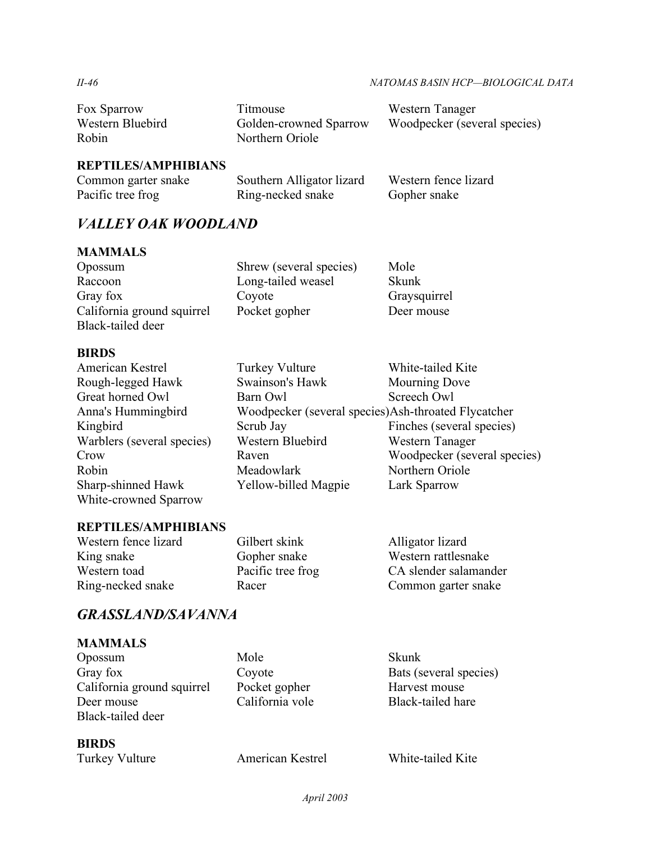#### *II-46 NATOMAS BASIN HCP—BIOLOGICAL DATA*

| Fox Sparrow      | Titmouse               | Western Tanager              |
|------------------|------------------------|------------------------------|
| Western Bluebird | Golden-crowned Sparrow | Woodpecker (several species) |
| Robin            | Northern Oriole        |                              |

## **REPTILES/AMPHIBIANS**

| Common garter snake | Southern Alligator lizard | Western fence lizard |
|---------------------|---------------------------|----------------------|
| Pacific tree frog   | Ring-necked snake         | Gopher snake         |

## *VALLEY OAK WOODLAND*

## **MAMMALS**

| Opossum                    | Shrew (several species) | Mole         |
|----------------------------|-------------------------|--------------|
| Raccoon                    | Long-tailed weasel      | <b>Skunk</b> |
| Gray fox                   | Coyote                  | Graysquirrel |
| California ground squirrel | Pocket gopher           | Deer mouse   |
| Black-tailed deer          |                         |              |

### **BIRDS**

| <b>Turkey Vulture</b>                               | White-tailed Kite            |
|-----------------------------------------------------|------------------------------|
| Swainson's Hawk                                     | Mourning Dove                |
| Barn Owl                                            | Screech Owl                  |
| Woodpecker (several species)Ash-throated Flycatcher |                              |
| Scrub Jay                                           | Finches (several species)    |
| Western Bluebird                                    | Western Tanager              |
| Raven                                               | Woodpecker (several species) |
| Meadowlark                                          | Northern Oriole              |
| <b>Yellow-billed Magpie</b>                         | Lark Sparrow                 |
|                                                     |                              |

## **REPTILES/AMPHIBIANS**

| Western fence lizard | Gilbert skink     | Alligator lizard      |
|----------------------|-------------------|-----------------------|
| King snake           | Gopher snake      | Western rattlesnake   |
| Western toad         | Pacific tree frog | CA slender salamander |
| Ring-necked snake    | Racer             | Common garter snake   |
|                      |                   |                       |

## *GRASSLAND/SAVANNA*

## **MAMMALS**

California ground squirrel Pocket gopher Harvest mouse Opossum Mole Skunk Gray fox Coyote Bats (several species)<br>California ground squirrel Pocket gopher Harvest mouse Deer mouse California vole Black-tailed hare Black-tailed deer

**BIRDS** 

Turkey Vulture American Kestrel White-tailed Kite